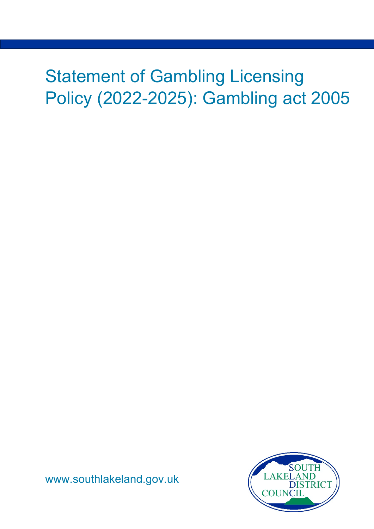# Statement of Gambling Licensing Policy (2022-2025): Gambling act 2005



[www.southlakeland.gov.uk](http://www.southlakeland.gov.uk/)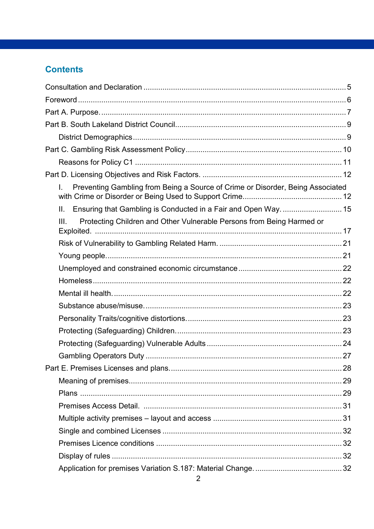### **Contents**

| Preventing Gambling from Being a Source of Crime or Disorder, Being Associated<br>L. |  |
|--------------------------------------------------------------------------------------|--|
| Ensuring that Gambling is Conducted in a Fair and Open Way.  15<br>II.               |  |
| Protecting Children and Other Vulnerable Persons from Being Harmed or<br>III.        |  |
|                                                                                      |  |
|                                                                                      |  |
|                                                                                      |  |
|                                                                                      |  |
|                                                                                      |  |
|                                                                                      |  |
|                                                                                      |  |
|                                                                                      |  |
|                                                                                      |  |
|                                                                                      |  |
|                                                                                      |  |
|                                                                                      |  |
|                                                                                      |  |
|                                                                                      |  |
|                                                                                      |  |
|                                                                                      |  |
|                                                                                      |  |
|                                                                                      |  |
|                                                                                      |  |
|                                                                                      |  |
|                                                                                      |  |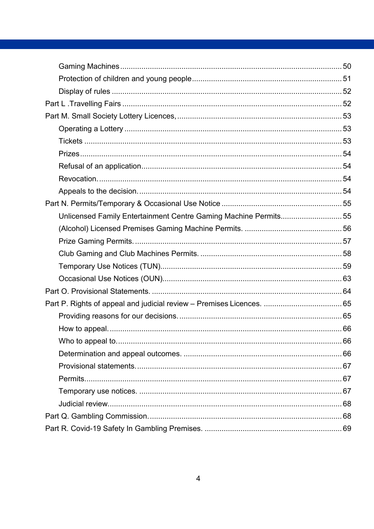| Unlicensed Family Entertainment Centre Gaming Machine Permits55 |      |
|-----------------------------------------------------------------|------|
|                                                                 |      |
|                                                                 |      |
|                                                                 |      |
|                                                                 |      |
|                                                                 |      |
|                                                                 |      |
|                                                                 |      |
|                                                                 |      |
|                                                                 |      |
|                                                                 | . 66 |
|                                                                 |      |
|                                                                 |      |
|                                                                 |      |
|                                                                 |      |
|                                                                 |      |
|                                                                 |      |
|                                                                 |      |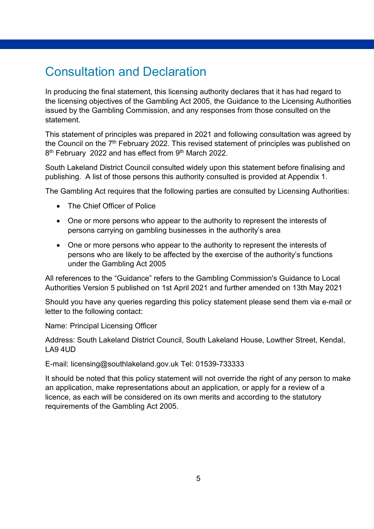# <span id="page-4-0"></span>Consultation and Declaration

In producing the final statement, this licensing authority declares that it has had regard to the licensing objectives of the Gambling Act 2005, the Guidance to the Licensing Authorities issued by the Gambling Commission, and any responses from those consulted on the statement.

This statement of principles was prepared in 2021 and following consultation was agreed by the Council on the  $7<sup>th</sup>$  February 2022. This revised statement of principles was published on 8<sup>th</sup> February 2022 and has effect from 9<sup>th</sup> March 2022.

South Lakeland District Council consulted widely upon this statement before finalising and publishing. A list of those persons this authority consulted is provided at Appendix 1.

The Gambling Act requires that the following parties are consulted by Licensing Authorities:

- The Chief Officer of Police
- One or more persons who appear to the authority to represent the interests of persons carrying on gambling businesses in the authority's area
- One or more persons who appear to the authority to represent the interests of persons who are likely to be affected by the exercise of the authority's functions under the Gambling Act 2005

All references to the "Guidance" refers to the Gambling Commission's Guidance to Local Authorities Version 5 published on 1st April 2021 and further amended on 13th May 2021

Should you have any queries regarding this policy statement please send them via e-mail or letter to the following contact:

Name: Principal Licensing Officer

Address: South Lakeland District Council, South Lakeland House, Lowther Street, Kendal,  $LA94UD$ 

E-mail: licensing@southlakeland.gov.uk Tel: 01539-733333

It should be noted that this policy statement will not override the right of any person to make an application, make representations about an application, or apply for a review of a licence, as each will be considered on its own merits and according to the statutory requirements of the Gambling Act 2005.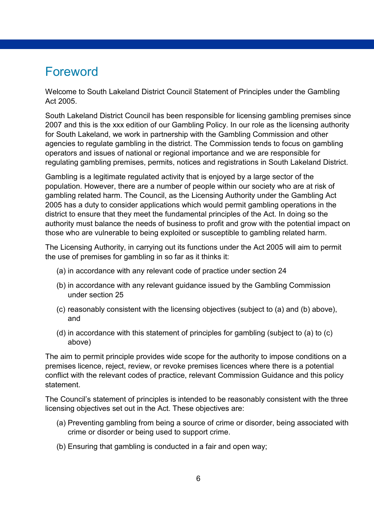# <span id="page-5-0"></span>Foreword

Welcome to South Lakeland District Council Statement of Principles under the Gambling Act 2005.

South Lakeland District Council has been responsible for licensing gambling premises since 2007 and this is the xxx edition of our Gambling Policy. In our role as the licensing authority for South Lakeland, we work in partnership with the Gambling Commission and other agencies to regulate gambling in the district. The Commission tends to focus on gambling operators and issues of national or regional importance and we are responsible for regulating gambling premises, permits, notices and registrations in South Lakeland District.

Gambling is a legitimate regulated activity that is enjoyed by a large sector of the population. However, there are a number of people within our society who are at risk of gambling related harm. The Council, as the Licensing Authority under the Gambling Act 2005 has a duty to consider applications which would permit gambling operations in the district to ensure that they meet the fundamental principles of the Act. In doing so the authority must balance the needs of business to profit and grow with the potential impact on those who are vulnerable to being exploited or susceptible to gambling related harm.

The Licensing Authority, in carrying out its functions under the Act 2005 will aim to permit the use of premises for gambling in so far as it thinks it:

- (a) in accordance with any relevant code of practice under section 24
- (b) in accordance with any relevant guidance issued by the Gambling Commission under section 25
- (c) reasonably consistent with the licensing objectives (subject to (a) and (b) above), and
- (d) in accordance with this statement of principles for gambling (subject to (a) to (c) above)

The aim to permit principle provides wide scope for the authority to impose conditions on a premises licence, reject, review, or revoke premises licences where there is a potential conflict with the relevant codes of practice, relevant Commission Guidance and this policy statement.

The Council's statement of principles is intended to be reasonably consistent with the three licensing objectives set out in the Act. These objectives are:

- (a) Preventing gambling from being a source of crime or disorder, being associated with crime or disorder or being used to support crime.
- (b) Ensuring that gambling is conducted in a fair and open way;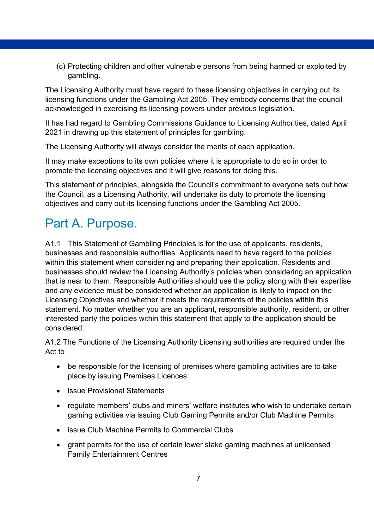(c) Protecting children and other vulnerable persons from being harmed or exploited by gambling.

The Licensing Authority must have regard to these licensing objectives in carrying out its licensing functions under the Gambling Act 2005. They embody concerns that the council acknowledged in exercising its licensing powers under previous legislation.

It has had regard to Gambling Commissions Guidance to Licensing Authorities, dated April 2021 in drawing up this statement of principles for gambling.

The Licensing Authority will always consider the merits of each application.

It may make exceptions to its own policies where it is appropriate to do so in order to promote the licensing objectives and it will give reasons for doing this.

This statement of principles, alongside the Council's commitment to everyone sets out how the Council, as a Licensing Authority, will undertake its duty to promote the licensing objectives and carry out its licensing functions under the Gambling Act 2005.

# <span id="page-6-0"></span>Part A. Purpose.

A1.1 This Statement of Gambling Principles is for the use of applicants, residents, businesses and responsible authorities. Applicants need to have regard to the policies within this statement when considering and preparing their application. Residents and businesses should review the Licensing Authority's policies when considering an application that is near to them. Responsible Authorities should use the policy along with their expertise and any evidence must be considered whether an application is likely to impact on the Licensing Objectives and whether it meets the requirements of the policies within this statement. No matter whether you are an applicant, responsible authority, resident, or other interested party the policies within this statement that apply to the application should be considered.

A1.2 The Functions of the Licensing Authority Licensing authorities are required under the Act to

- be responsible for the licensing of premises where gambling activities are to take place by issuing Premises Licences
- issue Provisional Statements
- regulate members' clubs and miners' welfare institutes who wish to undertake certain gaming activities via issuing Club Gaming Permits and/or Club Machine Permits
- issue Club Machine Permits to Commercial Clubs
- grant permits for the use of certain lower stake gaming machines at unlicensed Family Entertainment Centres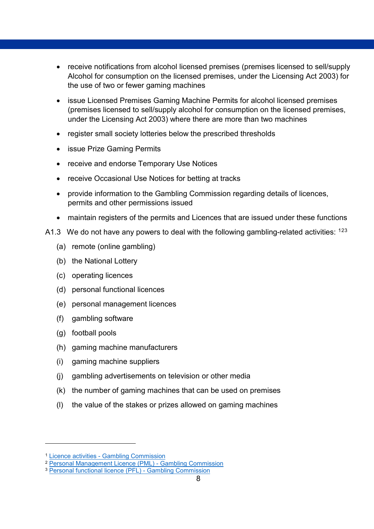- receive notifications from alcohol licensed premises (premises licensed to sell/supply Alcohol for consumption on the licensed premises, under the Licensing Act 2003) for the use of two or fewer gaming machines
- issue Licensed Premises Gaming Machine Permits for alcohol licensed premises (premises licensed to sell/supply alcohol for consumption on the licensed premises, under the Licensing Act 2003) where there are more than two machines
- register small society lotteries below the prescribed thresholds
- issue Prize Gaming Permits
- receive and endorse Temporary Use Notices
- receive Occasional Use Notices for betting at tracks
- provide information to the Gambling Commission regarding details of licences, permits and other permissions issued
- maintain registers of the permits and Licences that are issued under these functions
- A[1](#page-7-0).[3](#page-7-2) We do not have any powers to deal with the following gambling-related activities:  $123$  $123$  $123$ 
	- (a) remote (online gambling)
	- (b) the National Lottery
	- (c) operating licences
	- (d) personal functional licences
	- (e) personal management licences
	- (f) gambling software
	- (g) football pools
	- (h) gaming machine manufacturers
	- (i) gaming machine suppliers
	- (j) gambling advertisements on television or other media
	- (k) the number of gaming machines that can be used on premises
	- (l) the value of the stakes or prizes allowed on gaming machines

-

<span id="page-7-0"></span><sup>1</sup> Licence activities - [Gambling Commission](https://www.gamblingcommission.gov.uk/licensees-and-businesses/guide/licence-activities)

<span id="page-7-1"></span><sup>2</sup> [Personal Management Licence \(PML\) -](https://www.gamblingcommission.gov.uk/licensees-and-businesses/guide/personal-management-licence) Gambling Commission

<span id="page-7-2"></span><sup>3</sup> [Personal functional licence \(PFL\) -](https://www.gamblingcommission.gov.uk/licensees-and-businesses/guide/personal-functional-licence) Gambling Commission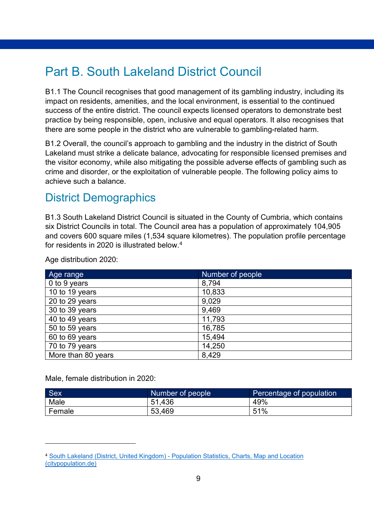# <span id="page-8-0"></span>Part B. South Lakeland District Council

B1.1 The Council recognises that good management of its gambling industry, including its impact on residents, amenities, and the local environment, is essential to the continued success of the entire district. The council expects licensed operators to demonstrate best practice by being responsible, open, inclusive and equal operators. It also recognises that there are some people in the district who are vulnerable to gambling-related harm.

B1.2 Overall, the council's approach to gambling and the industry in the district of South Lakeland must strike a delicate balance, advocating for responsible licensed premises and the visitor economy, while also mitigating the possible adverse effects of gambling such as crime and disorder, or the exploitation of vulnerable people. The following policy aims to achieve such a balance.

### <span id="page-8-1"></span>District Demographics

B1.3 South Lakeland District Council is situated in the County of Cumbria, which contains six District Councils in total. The Council area has a population of approximately 104,905 and covers 600 square miles (1,534 square kilometres). The population profile percentage for residents in 2020 is illustrated below.<sup>[4](#page-8-2)</sup>

| Age range          | Number of people |
|--------------------|------------------|
| 0 to 9 years       | 8,794            |
| 10 to 19 years     | 10,833           |
| 20 to 29 years     | 9,029            |
| 30 to 39 years     | 9,469            |
| 40 to 49 years     | 11,793           |
| 50 to 59 years     | 16,785           |
| 60 to 69 years     | 15,494           |
| 70 to 79 years     | 14,250           |
| More than 80 years | 8,429            |

Age distribution 2020:

Male, female distribution in 2020:

-

| <b>Sex</b> | Number of people | Percentage of population |
|------------|------------------|--------------------------|
| Male       | 51.436           | 49%                      |
| Female     | 53,469           | 51%                      |

<span id="page-8-2"></span><sup>4</sup> South Lakeland (District, United Kingdom) - [Population Statistics, Charts, Map and Location](https://www.citypopulation.de/en/uk/northwestengland/admin/E07000031__south_lakeland/)  [\(citypopulation.de\)](https://www.citypopulation.de/en/uk/northwestengland/admin/E07000031__south_lakeland/)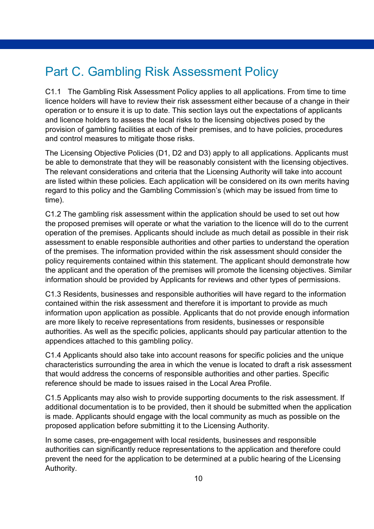# <span id="page-9-0"></span>Part C. Gambling Risk Assessment Policy

C1.1 The Gambling Risk Assessment Policy applies to all applications. From time to time licence holders will have to review their risk assessment either because of a change in their operation or to ensure it is up to date. This section lays out the expectations of applicants and licence holders to assess the local risks to the licensing objectives posed by the provision of gambling facilities at each of their premises, and to have policies, procedures and control measures to mitigate those risks.

The Licensing Objective Policies (D1, D2 and D3) apply to all applications. Applicants must be able to demonstrate that they will be reasonably consistent with the licensing objectives. The relevant considerations and criteria that the Licensing Authority will take into account are listed within these policies. Each application will be considered on its own merits having regard to this policy and the Gambling Commission's (which may be issued from time to time).

C1.2 The gambling risk assessment within the application should be used to set out how the proposed premises will operate or what the variation to the licence will do to the current operation of the premises. Applicants should include as much detail as possible in their risk assessment to enable responsible authorities and other parties to understand the operation of the premises. The information provided within the risk assessment should consider the policy requirements contained within this statement. The applicant should demonstrate how the applicant and the operation of the premises will promote the licensing objectives. Similar information should be provided by Applicants for reviews and other types of permissions.

C1.3 Residents, businesses and responsible authorities will have regard to the information contained within the risk assessment and therefore it is important to provide as much information upon application as possible. Applicants that do not provide enough information are more likely to receive representations from residents, businesses or responsible authorities. As well as the specific policies, applicants should pay particular attention to the appendices attached to this gambling policy.

C1.4 Applicants should also take into account reasons for specific policies and the unique characteristics surrounding the area in which the venue is located to draft a risk assessment that would address the concerns of responsible authorities and other parties. Specific reference should be made to issues raised in the Local Area Profile.

C1.5 Applicants may also wish to provide supporting documents to the risk assessment. If additional documentation is to be provided, then it should be submitted when the application is made. Applicants should engage with the local community as much as possible on the proposed application before submitting it to the Licensing Authority.

In some cases, pre-engagement with local residents, businesses and responsible authorities can significantly reduce representations to the application and therefore could prevent the need for the application to be determined at a public hearing of the Licensing Authority.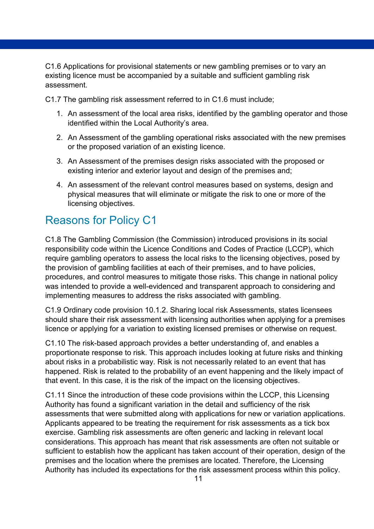C1.6 Applications for provisional statements or new gambling premises or to vary an existing licence must be accompanied by a suitable and sufficient gambling risk assessment.

C1.7 The gambling risk assessment referred to in C1.6 must include;

- 1. An assessment of the local area risks, identified by the gambling operator and those identified within the Local Authority's area.
- 2. An Assessment of the gambling operational risks associated with the new premises or the proposed variation of an existing licence.
- 3. An Assessment of the premises design risks associated with the proposed or existing interior and exterior layout and design of the premises and;
- 4. An assessment of the relevant control measures based on systems, design and physical measures that will eliminate or mitigate the risk to one or more of the licensing objectives.

## <span id="page-10-0"></span>Reasons for Policy C1

C1.8 The Gambling Commission (the Commission) introduced provisions in its social responsibility code within the Licence Conditions and Codes of Practice (LCCP), which require gambling operators to assess the local risks to the licensing objectives, posed by the provision of gambling facilities at each of their premises, and to have policies, procedures, and control measures to mitigate those risks. This change in national policy was intended to provide a well-evidenced and transparent approach to considering and implementing measures to address the risks associated with gambling.

C1.9 Ordinary code provision 10.1.2. Sharing local risk Assessments, states licensees should share their risk assessment with licensing authorities when applying for a premises licence or applying for a variation to existing licensed premises or otherwise on request.

C1.10 The risk-based approach provides a better understanding of, and enables a proportionate response to risk. This approach includes looking at future risks and thinking about risks in a probabilistic way. Risk is not necessarily related to an event that has happened. Risk is related to the probability of an event happening and the likely impact of that event. In this case, it is the risk of the impact on the licensing objectives.

C1.11 Since the introduction of these code provisions within the LCCP, this Licensing Authority has found a significant variation in the detail and sufficiency of the risk assessments that were submitted along with applications for new or variation applications. Applicants appeared to be treating the requirement for risk assessments as a tick box exercise. Gambling risk assessments are often generic and lacking in relevant local considerations. This approach has meant that risk assessments are often not suitable or sufficient to establish how the applicant has taken account of their operation, design of the premises and the location where the premises are located. Therefore, the Licensing Authority has included its expectations for the risk assessment process within this policy.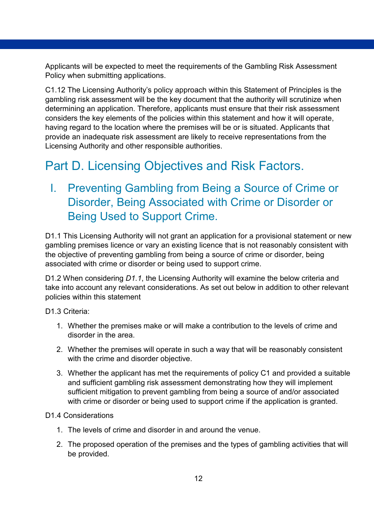Applicants will be expected to meet the requirements of the Gambling Risk Assessment Policy when submitting applications.

C1.12 The Licensing Authority's policy approach within this Statement of Principles is the gambling risk assessment will be the key document that the authority will scrutinize when determining an application. Therefore, applicants must ensure that their risk assessment considers the key elements of the policies within this statement and how it will operate, having regard to the location where the premises will be or is situated. Applicants that provide an inadequate risk assessment are likely to receive representations from the Licensing Authority and other responsible authorities.

# <span id="page-11-0"></span>Part D. Licensing Objectives and Risk Factors.

# <span id="page-11-1"></span>I. Preventing Gambling from Being a Source of Crime or Disorder, Being Associated with Crime or Disorder or Being Used to Support Crime.

D1.1 This Licensing Authority will not grant an application for a provisional statement or new gambling premises licence or vary an existing licence that is not reasonably consistent with the objective of preventing gambling from being a source of crime or disorder, being associated with crime or disorder or being used to support crime.

D1.2 When considering *D1.1*, the Licensing Authority will examine the below criteria and take into account any relevant considerations. As set out below in addition to other relevant policies within this statement

D1.3 Criteria:

- 1. Whether the premises make or will make a contribution to the levels of crime and disorder in the area.
- 2. Whether the premises will operate in such a way that will be reasonably consistent with the crime and disorder objective.
- 3. Whether the applicant has met the requirements of policy C1 and provided a suitable and sufficient gambling risk assessment demonstrating how they will implement sufficient mitigation to prevent gambling from being a source of and/or associated with crime or disorder or being used to support crime if the application is granted.

#### D1.4 Considerations

- 1. The levels of crime and disorder in and around the venue.
- 2. The proposed operation of the premises and the types of gambling activities that will be provided.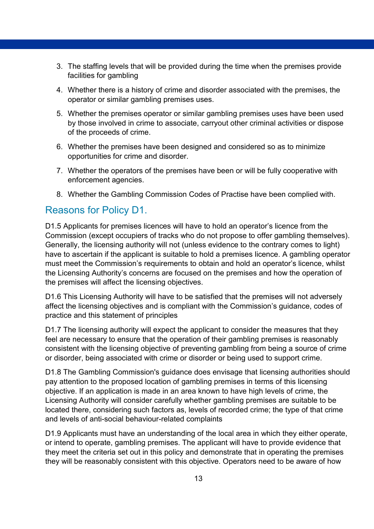- 3. The staffing levels that will be provided during the time when the premises provide facilities for gambling
- 4. Whether there is a history of crime and disorder associated with the premises, the operator or similar gambling premises uses.
- 5. Whether the premises operator or similar gambling premises uses have been used by those involved in crime to associate, carryout other criminal activities or dispose of the proceeds of crime.
- 6. Whether the premises have been designed and considered so as to minimize opportunities for crime and disorder.
- 7. Whether the operators of the premises have been or will be fully cooperative with enforcement agencies.
- 8. Whether the Gambling Commission Codes of Practise have been complied with.

#### Reasons for Policy D1.

D1.5 Applicants for premises licences will have to hold an operator's licence from the Commission (except occupiers of tracks who do not propose to offer gambling themselves). Generally, the licensing authority will not (unless evidence to the contrary comes to light) have to ascertain if the applicant is suitable to hold a premises licence. A gambling operator must meet the Commission's requirements to obtain and hold an operator's licence, whilst the Licensing Authority's concerns are focused on the premises and how the operation of the premises will affect the licensing objectives.

D1.6 This Licensing Authority will have to be satisfied that the premises will not adversely affect the licensing objectives and is compliant with the Commission's guidance, codes of practice and this statement of principles

D1.7 The licensing authority will expect the applicant to consider the measures that they feel are necessary to ensure that the operation of their gambling premises is reasonably consistent with the licensing objective of preventing gambling from being a source of crime or disorder, being associated with crime or disorder or being used to support crime.

D1.8 The Gambling Commission's guidance does envisage that licensing authorities should pay attention to the proposed location of gambling premises in terms of this licensing objective. If an application is made in an area known to have high levels of crime, the Licensing Authority will consider carefully whether gambling premises are suitable to be located there, considering such factors as, levels of recorded crime; the type of that crime and levels of anti-social behaviour-related complaints

D1.9 Applicants must have an understanding of the local area in which they either operate, or intend to operate, gambling premises. The applicant will have to provide evidence that they meet the criteria set out in this policy and demonstrate that in operating the premises they will be reasonably consistent with this objective. Operators need to be aware of how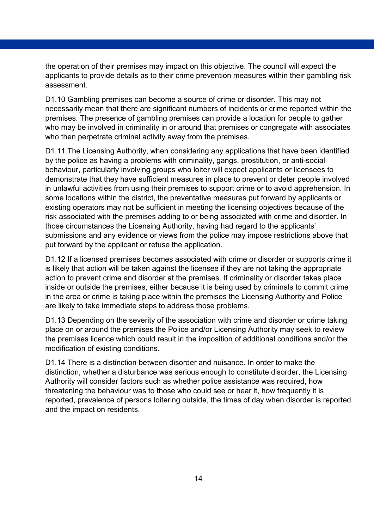the operation of their premises may impact on this objective. The council will expect the applicants to provide details as to their crime prevention measures within their gambling risk assessment.

D1.10 Gambling premises can become a source of crime or disorder. This may not necessarily mean that there are significant numbers of incidents or crime reported within the premises. The presence of gambling premises can provide a location for people to gather who may be involved in criminality in or around that premises or congregate with associates who then perpetrate criminal activity away from the premises.

D1.11 The Licensing Authority, when considering any applications that have been identified by the police as having a problems with criminality, gangs, prostitution, or anti-social behaviour, particularly involving groups who loiter will expect applicants or licensees to demonstrate that they have sufficient measures in place to prevent or deter people involved in unlawful activities from using their premises to support crime or to avoid apprehension. In some locations within the district, the preventative measures put forward by applicants or existing operators may not be sufficient in meeting the licensing objectives because of the risk associated with the premises adding to or being associated with crime and disorder. In those circumstances the Licensing Authority, having had regard to the applicants' submissions and any evidence or views from the police may impose restrictions above that put forward by the applicant or refuse the application.

D1.12 If a licensed premises becomes associated with crime or disorder or supports crime it is likely that action will be taken against the licensee if they are not taking the appropriate action to prevent crime and disorder at the premises. If criminality or disorder takes place inside or outside the premises, either because it is being used by criminals to commit crime in the area or crime is taking place within the premises the Licensing Authority and Police are likely to take immediate steps to address those problems.

D1.13 Depending on the severity of the association with crime and disorder or crime taking place on or around the premises the Police and/or Licensing Authority may seek to review the premises licence which could result in the imposition of additional conditions and/or the modification of existing conditions.

D1.14 There is a distinction between disorder and nuisance. In order to make the distinction, whether a disturbance was serious enough to constitute disorder, the Licensing Authority will consider factors such as whether police assistance was required, how threatening the behaviour was to those who could see or hear it, how frequently it is reported, prevalence of persons loitering outside, the times of day when disorder is reported and the impact on residents.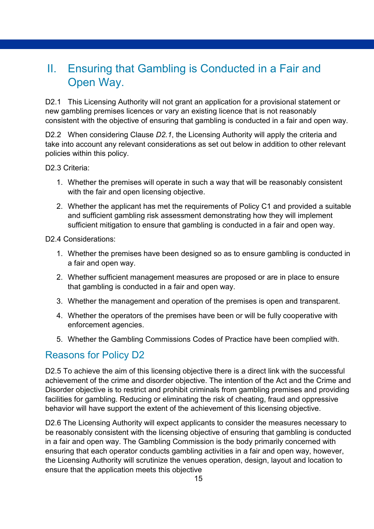### <span id="page-14-0"></span>II. Ensuring that Gambling is Conducted in a Fair and Open Way.

D2.1 This Licensing Authority will not grant an application for a provisional statement or new gambling premises licences or vary an existing licence that is not reasonably consistent with the objective of ensuring that gambling is conducted in a fair and open way.

D2.2 When considering Clause *D2.1*, the Licensing Authority will apply the criteria and take into account any relevant considerations as set out below in addition to other relevant policies within this policy.

D<sub>2.3</sub> Criteria:

- 1. Whether the premises will operate in such a way that will be reasonably consistent with the fair and open licensing objective.
- 2. Whether the applicant has met the requirements of Policy C1 and provided a suitable and sufficient gambling risk assessment demonstrating how they will implement sufficient mitigation to ensure that gambling is conducted in a fair and open way.

D<sub>2</sub> 4 Considerations:

- 1. Whether the premises have been designed so as to ensure gambling is conducted in a fair and open way.
- 2. Whether sufficient management measures are proposed or are in place to ensure that gambling is conducted in a fair and open way.
- 3. Whether the management and operation of the premises is open and transparent.
- 4. Whether the operators of the premises have been or will be fully cooperative with enforcement agencies.
- 5. Whether the Gambling Commissions Codes of Practice have been complied with.

#### Reasons for Policy D2

D2.5 To achieve the aim of this licensing objective there is a direct link with the successful achievement of the crime and disorder objective. The intention of the Act and the Crime and Disorder objective is to restrict and prohibit criminals from gambling premises and providing facilities for gambling. Reducing or eliminating the risk of cheating, fraud and oppressive behavior will have support the extent of the achievement of this licensing objective.

D2.6 The Licensing Authority will expect applicants to consider the measures necessary to be reasonably consistent with the licensing objective of ensuring that gambling is conducted in a fair and open way. The Gambling Commission is the body primarily concerned with ensuring that each operator conducts gambling activities in a fair and open way, however, the Licensing Authority will scrutinize the venues operation, design, layout and location to ensure that the application meets this objective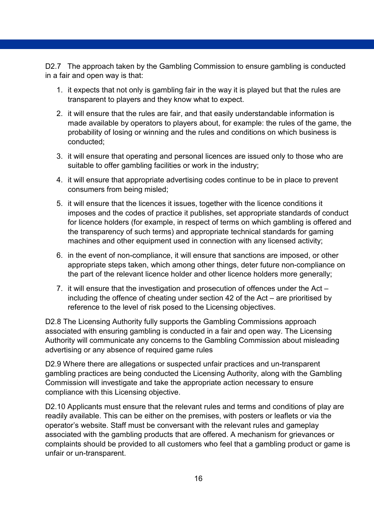D2.7 The approach taken by the Gambling Commission to ensure gambling is conducted in a fair and open way is that:

- 1. it expects that not only is gambling fair in the way it is played but that the rules are transparent to players and they know what to expect.
- 2. it will ensure that the rules are fair, and that easily understandable information is made available by operators to players about, for example: the rules of the game, the probability of losing or winning and the rules and conditions on which business is conducted;
- 3. it will ensure that operating and personal licences are issued only to those who are suitable to offer gambling facilities or work in the industry;
- 4. it will ensure that appropriate advertising codes continue to be in place to prevent consumers from being misled;
- 5. it will ensure that the licences it issues, together with the licence conditions it imposes and the codes of practice it publishes, set appropriate standards of conduct for licence holders (for example, in respect of terms on which gambling is offered and the transparency of such terms) and appropriate technical standards for gaming machines and other equipment used in connection with any licensed activity;
- 6. in the event of non-compliance, it will ensure that sanctions are imposed, or other appropriate steps taken, which among other things, deter future non-compliance on the part of the relevant licence holder and other licence holders more generally;
- 7. it will ensure that the investigation and prosecution of offences under the Act including the offence of cheating under section 42 of the Act – are prioritised by reference to the level of risk posed to the Licensing objectives.

D2.8 The Licensing Authority fully supports the Gambling Commissions approach associated with ensuring gambling is conducted in a fair and open way. The Licensing Authority will communicate any concerns to the Gambling Commission about misleading advertising or any absence of required game rules

D2.9 Where there are allegations or suspected unfair practices and un-transparent gambling practices are being conducted the Licensing Authority, along with the Gambling Commission will investigate and take the appropriate action necessary to ensure compliance with this Licensing objective.

D2.10 Applicants must ensure that the relevant rules and terms and conditions of play are readily available. This can be either on the premises, with posters or leaflets or via the operator's website. Staff must be conversant with the relevant rules and gameplay associated with the gambling products that are offered. A mechanism for grievances or complaints should be provided to all customers who feel that a gambling product or game is unfair or un-transparent.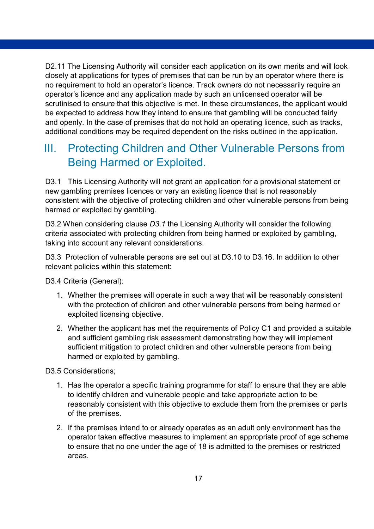D2.11 The Licensing Authority will consider each application on its own merits and will look closely at applications for types of premises that can be run by an operator where there is no requirement to hold an operator's licence. Track owners do not necessarily require an operator's licence and any application made by such an unlicensed operator will be scrutinised to ensure that this objective is met. In these circumstances, the applicant would be expected to address how they intend to ensure that gambling will be conducted fairly and openly. In the case of premises that do not hold an operating licence, such as tracks, additional conditions may be required dependent on the risks outlined in the application.

# <span id="page-16-0"></span>III. Protecting Children and Other Vulnerable Persons from Being Harmed or Exploited.

D3.1 This Licensing Authority will not grant an application for a provisional statement or new gambling premises licences or vary an existing licence that is not reasonably consistent with the objective of protecting children and other vulnerable persons from being harmed or exploited by gambling.

D3.2 When considering clause *D3.1* the Licensing Authority will consider the following criteria associated with protecting children from being harmed or exploited by gambling, taking into account any relevant considerations.

D3.3 Protection of vulnerable persons are set out at D3.10 to D3.16. In addition to other relevant policies within this statement:

D3.4 Criteria (General):

- 1. Whether the premises will operate in such a way that will be reasonably consistent with the protection of children and other vulnerable persons from being harmed or exploited licensing objective.
- 2. Whether the applicant has met the requirements of Policy C1 and provided a suitable and sufficient gambling risk assessment demonstrating how they will implement sufficient mitigation to protect children and other vulnerable persons from being harmed or exploited by gambling.

D3.5 Considerations;

- 1. Has the operator a specific training programme for staff to ensure that they are able to identify children and vulnerable people and take appropriate action to be reasonably consistent with this objective to exclude them from the premises or parts of the premises.
- 2. If the premises intend to or already operates as an adult only environment has the operator taken effective measures to implement an appropriate proof of age scheme to ensure that no one under the age of 18 is admitted to the premises or restricted areas.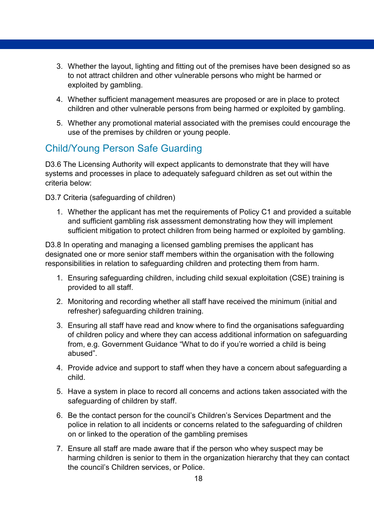- 3. Whether the layout, lighting and fitting out of the premises have been designed so as to not attract children and other vulnerable persons who might be harmed or exploited by gambling.
- 4. Whether sufficient management measures are proposed or are in place to protect children and other vulnerable persons from being harmed or exploited by gambling.
- 5. Whether any promotional material associated with the premises could encourage the use of the premises by children or young people.

### Child/Young Person Safe Guarding

D3.6 The Licensing Authority will expect applicants to demonstrate that they will have systems and processes in place to adequately safeguard children as set out within the criteria below:

D3.7 Criteria (safeguarding of children)

1. Whether the applicant has met the requirements of Policy C1 and provided a suitable and sufficient gambling risk assessment demonstrating how they will implement sufficient mitigation to protect children from being harmed or exploited by gambling.

D3.8 In operating and managing a licensed gambling premises the applicant has designated one or more senior staff members within the organisation with the following responsibilities in relation to safeguarding children and protecting them from harm.

- 1. Ensuring safeguarding children, including child sexual exploitation (CSE) training is provided to all staff.
- 2. Monitoring and recording whether all staff have received the minimum (initial and refresher) safeguarding children training.
- 3. Ensuring all staff have read and know where to find the organisations safeguarding of children policy and where they can access additional information on safeguarding from, e.g. Government Guidance "What to do if you're worried a child is being abused".
- 4. Provide advice and support to staff when they have a concern about safeguarding a child.
- 5. Have a system in place to record all concerns and actions taken associated with the safeguarding of children by staff.
- 6. Be the contact person for the council's Children's Services Department and the police in relation to all incidents or concerns related to the safeguarding of children on or linked to the operation of the gambling premises
- 7. Ensure all staff are made aware that if the person who whey suspect may be harming children is senior to them in the organization hierarchy that they can contact the council's Children services, or Police.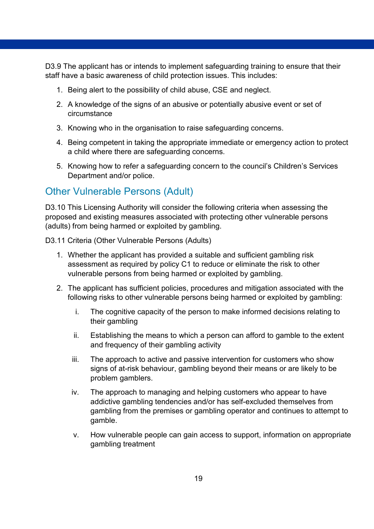D3.9 The applicant has or intends to implement safeguarding training to ensure that their staff have a basic awareness of child protection issues. This includes:

- 1. Being alert to the possibility of child abuse, CSE and neglect.
- 2. A knowledge of the signs of an abusive or potentially abusive event or set of circumstance
- 3. Knowing who in the organisation to raise safeguarding concerns.
- 4. Being competent in taking the appropriate immediate or emergency action to protect a child where there are safeguarding concerns.
- 5. Knowing how to refer a safeguarding concern to the council's Children's Services Department and/or police.

#### Other Vulnerable Persons (Adult)

D3.10 This Licensing Authority will consider the following criteria when assessing the proposed and existing measures associated with protecting other vulnerable persons (adults) from being harmed or exploited by gambling.

D3.11 Criteria (Other Vulnerable Persons (Adults)

- 1. Whether the applicant has provided a suitable and sufficient gambling risk assessment as required by policy C1 to reduce or eliminate the risk to other vulnerable persons from being harmed or exploited by gambling.
- 2. The applicant has sufficient policies, procedures and mitigation associated with the following risks to other vulnerable persons being harmed or exploited by gambling:
	- i. The cognitive capacity of the person to make informed decisions relating to their gambling
	- ii. Establishing the means to which a person can afford to gamble to the extent and frequency of their gambling activity
	- iii. The approach to active and passive intervention for customers who show signs of at-risk behaviour, gambling beyond their means or are likely to be problem gamblers.
	- iv. The approach to managing and helping customers who appear to have addictive gambling tendencies and/or has self-excluded themselves from gambling from the premises or gambling operator and continues to attempt to gamble.
	- v. How vulnerable people can gain access to support, information on appropriate gambling treatment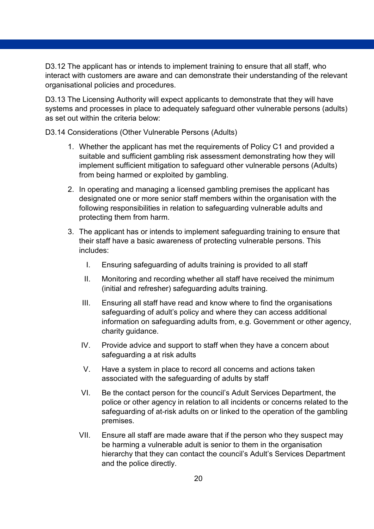D3.12 The applicant has or intends to implement training to ensure that all staff, who interact with customers are aware and can demonstrate their understanding of the relevant organisational policies and procedures.

D3.13 The Licensing Authority will expect applicants to demonstrate that they will have systems and processes in place to adequately safeguard other vulnerable persons (adults) as set out within the criteria below:

D3.14 Considerations (Other Vulnerable Persons (Adults)

- 1. Whether the applicant has met the requirements of Policy C1 and provided a suitable and sufficient gambling risk assessment demonstrating how they will implement sufficient mitigation to safeguard other vulnerable persons (Adults) from being harmed or exploited by gambling.
- 2. In operating and managing a licensed gambling premises the applicant has designated one or more senior staff members within the organisation with the following responsibilities in relation to safeguarding vulnerable adults and protecting them from harm.
- 3. The applicant has or intends to implement safeguarding training to ensure that their staff have a basic awareness of protecting vulnerable persons. This includes:
	- I. Ensuring safeguarding of adults training is provided to all staff
	- II. Monitoring and recording whether all staff have received the minimum (initial and refresher) safeguarding adults training.
	- III. Ensuring all staff have read and know where to find the organisations safeguarding of adult's policy and where they can access additional information on safeguarding adults from, e.g. Government or other agency, charity guidance.
	- IV. Provide advice and support to staff when they have a concern about safeguarding a at risk adults
	- V. Have a system in place to record all concerns and actions taken associated with the safeguarding of adults by staff
	- VI. Be the contact person for the council's Adult Services Department, the police or other agency in relation to all incidents or concerns related to the safeguarding of at-risk adults on or linked to the operation of the gambling premises.
	- VII. Ensure all staff are made aware that if the person who they suspect may be harming a vulnerable adult is senior to them in the organisation hierarchy that they can contact the council's Adult's Services Department and the police directly.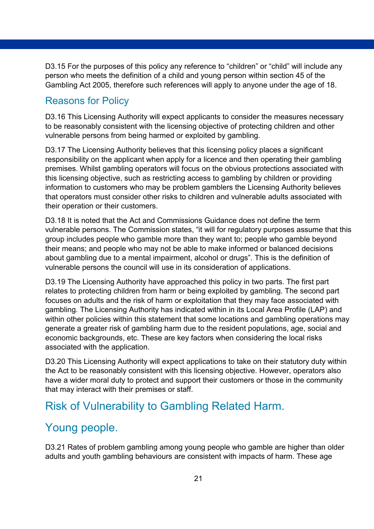D3.15 For the purposes of this policy any reference to "children" or "child" will include any person who meets the definition of a child and young person within section 45 of the Gambling Act 2005, therefore such references will apply to anyone under the age of 18.

#### Reasons for Policy

D3.16 This Licensing Authority will expect applicants to consider the measures necessary to be reasonably consistent with the licensing objective of protecting children and other vulnerable persons from being harmed or exploited by gambling.

D3.17 The Licensing Authority believes that this licensing policy places a significant responsibility on the applicant when apply for a licence and then operating their gambling premises. Whilst gambling operators will focus on the obvious protections associated with this licensing objective, such as restricting access to gambling by children or providing information to customers who may be problem gamblers the Licensing Authority believes that operators must consider other risks to children and vulnerable adults associated with their operation or their customers.

D3.18 It is noted that the Act and Commissions Guidance does not define the term vulnerable persons. The Commission states, "it will for regulatory purposes assume that this group includes people who gamble more than they want to; people who gamble beyond their means; and people who may not be able to make informed or balanced decisions about gambling due to a mental impairment, alcohol or drugs". This is the definition of vulnerable persons the council will use in its consideration of applications.

D3.19 The Licensing Authority have approached this policy in two parts. The first part relates to protecting children from harm or being exploited by gambling. The second part focuses on adults and the risk of harm or exploitation that they may face associated with gambling. The Licensing Authority has indicated within in its Local Area Profile (LAP) and within other policies within this statement that some locations and gambling operations may generate a greater risk of gambling harm due to the resident populations, age, social and economic backgrounds, etc. These are key factors when considering the local risks associated with the application.

D3.20 This Licensing Authority will expect applications to take on their statutory duty within the Act to be reasonably consistent with this licensing objective. However, operators also have a wider moral duty to protect and support their customers or those in the community that may interact with their premises or staff.

## <span id="page-20-0"></span>Risk of Vulnerability to Gambling Related Harm.

## <span id="page-20-1"></span>Young people.

D3.21 Rates of problem gambling among young people who gamble are higher than older adults and youth gambling behaviours are consistent with impacts of harm. These age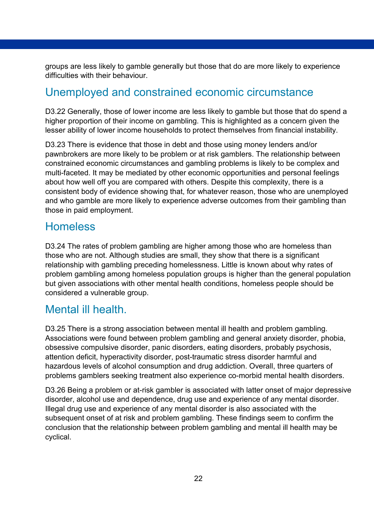groups are less likely to gamble generally but those that do are more likely to experience difficulties with their behaviour.

## <span id="page-21-0"></span>Unemployed and constrained economic circumstance

D3.22 Generally, those of lower income are less likely to gamble but those that do spend a higher proportion of their income on gambling. This is highlighted as a concern given the lesser ability of lower income households to protect themselves from financial instability.

D3.23 There is evidence that those in debt and those using money lenders and/or pawnbrokers are more likely to be problem or at risk gamblers. The relationship between constrained economic circumstances and gambling problems is likely to be complex and multi-faceted. It may be mediated by other economic opportunities and personal feelings about how well off you are compared with others. Despite this complexity, there is a consistent body of evidence showing that, for whatever reason, those who are unemployed and who gamble are more likely to experience adverse outcomes from their gambling than those in paid employment.

### <span id="page-21-1"></span>**Homeless**

D3.24 The rates of problem gambling are higher among those who are homeless than those who are not. Although studies are small, they show that there is a significant relationship with gambling preceding homelessness. Little is known about why rates of problem gambling among homeless population groups is higher than the general population but given associations with other mental health conditions, homeless people should be considered a vulnerable group.

### <span id="page-21-2"></span>Mental ill health.

D3.25 There is a strong association between mental ill health and problem gambling. Associations were found between problem gambling and general anxiety disorder, phobia, obsessive compulsive disorder, panic disorders, eating disorders, probably psychosis, attention deficit, hyperactivity disorder, post-traumatic stress disorder harmful and hazardous levels of alcohol consumption and drug addiction. Overall, three quarters of problems gamblers seeking treatment also experience co-morbid mental health disorders.

D3.26 Being a problem or at-risk gambler is associated with latter onset of major depressive disorder, alcohol use and dependence, drug use and experience of any mental disorder. Illegal drug use and experience of any mental disorder is also associated with the subsequent onset of at risk and problem gambling. These findings seem to confirm the conclusion that the relationship between problem gambling and mental ill health may be cyclical.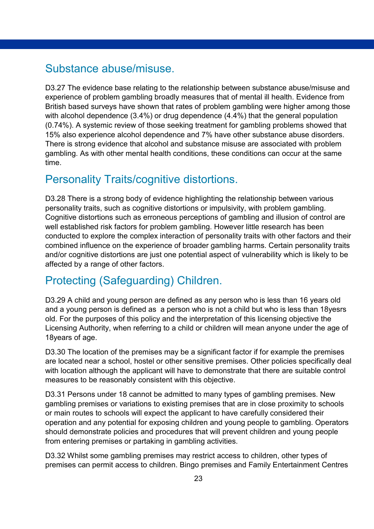### <span id="page-22-0"></span>Substance abuse/misuse.

D3.27 The evidence base relating to the relationship between substance abuse/misuse and experience of problem gambling broadly measures that of mental ill health. Evidence from British based surveys have shown that rates of problem gambling were higher among those with alcohol dependence (3.4%) or drug dependence (4.4%) that the general population (0.74%). A systemic review of those seeking treatment for gambling problems showed that 15% also experience alcohol dependence and 7% have other substance abuse disorders. There is strong evidence that alcohol and substance misuse are associated with problem gambling. As with other mental health conditions, these conditions can occur at the same time.

### <span id="page-22-1"></span>Personality Traits/cognitive distortions.

D3.28 There is a strong body of evidence highlighting the relationship between various personality traits, such as cognitive distortions or impulsivity, with problem gambling. Cognitive distortions such as erroneous perceptions of gambling and illusion of control are well established risk factors for problem gambling. However little research has been conducted to explore the complex interaction of personality traits with other factors and their combined influence on the experience of broader gambling harms. Certain personality traits and/or cognitive distortions are just one potential aspect of vulnerability which is likely to be affected by a range of other factors.

## <span id="page-22-2"></span>Protecting (Safeguarding) Children.

D3.29 A child and young person are defined as any person who is less than 16 years old and a young person is defined as a person who is not a child but who is less than 18yesrs old. For the purposes of this policy and the interpretation of this licensing objective the Licensing Authority, when referring to a child or children will mean anyone under the age of 18years of age.

D3.30 The location of the premises may be a significant factor if for example the premises are located near a school, hostel or other sensitive premises. Other policies specifically deal with location although the applicant will have to demonstrate that there are suitable control measures to be reasonably consistent with this objective.

D3.31 Persons under 18 cannot be admitted to many types of gambling premises. New gambling premises or variations to existing premises that are in close proximity to schools or main routes to schools will expect the applicant to have carefully considered their operation and any potential for exposing children and young people to gambling. Operators should demonstrate policies and procedures that will prevent children and young people from entering premises or partaking in gambling activities.

D3.32 Whilst some gambling premises may restrict access to children, other types of premises can permit access to children. Bingo premises and Family Entertainment Centres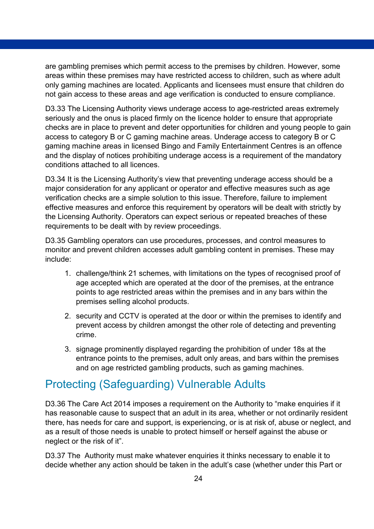are gambling premises which permit access to the premises by children. However, some areas within these premises may have restricted access to children, such as where adult only gaming machines are located. Applicants and licensees must ensure that children do not gain access to these areas and age verification is conducted to ensure compliance.

D3.33 The Licensing Authority views underage access to age-restricted areas extremely seriously and the onus is placed firmly on the licence holder to ensure that appropriate checks are in place to prevent and deter opportunities for children and young people to gain access to category B or C gaming machine areas. Underage access to category B or C gaming machine areas in licensed Bingo and Family Entertainment Centres is an offence and the display of notices prohibiting underage access is a requirement of the mandatory conditions attached to all licences.

D3.34 It is the Licensing Authority's view that preventing underage access should be a major consideration for any applicant or operator and effective measures such as age verification checks are a simple solution to this issue. Therefore, failure to implement effective measures and enforce this requirement by operators will be dealt with strictly by the Licensing Authority. Operators can expect serious or repeated breaches of these requirements to be dealt with by review proceedings.

D3.35 Gambling operators can use procedures, processes, and control measures to monitor and prevent children accesses adult gambling content in premises. These may include:

- 1. challenge/think 21 schemes, with limitations on the types of recognised proof of age accepted which are operated at the door of the premises, at the entrance points to age restricted areas within the premises and in any bars within the premises selling alcohol products.
- 2. security and CCTV is operated at the door or within the premises to identify and prevent access by children amongst the other role of detecting and preventing crime.
- 3. signage prominently displayed regarding the prohibition of under 18s at the entrance points to the premises, adult only areas, and bars within the premises and on age restricted gambling products, such as gaming machines.

### <span id="page-23-0"></span>Protecting (Safeguarding) Vulnerable Adults

D3.36 The Care Act 2014 imposes a requirement on the Authority to "make enquiries if it has reasonable cause to suspect that an adult in its area, whether or not ordinarily resident there, has needs for care and support, is experiencing, or is at risk of, abuse or neglect, and as a result of those needs is unable to protect himself or herself against the abuse or neglect or the risk of it".

D3.37 The Authority must make whatever enquiries it thinks necessary to enable it to decide whether any action should be taken in the adult's case (whether under this Part or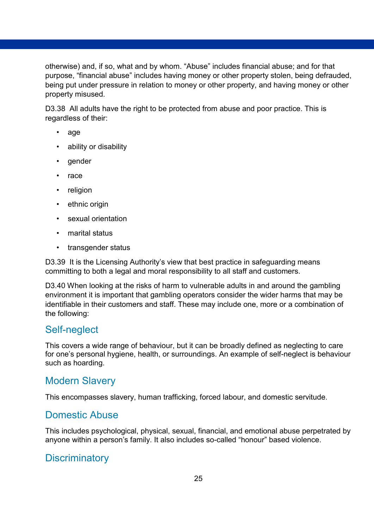otherwise) and, if so, what and by whom. "Abuse" includes financial abuse; and for that purpose, "financial abuse" includes having money or other property stolen, being defrauded, being put under pressure in relation to money or other property, and having money or other property misused.

D3.38 All adults have the right to be protected from abuse and poor practice. This is regardless of their:

- age
- ability or disability
- gender
- race
- religion
- ethnic origin
- sexual orientation
- marital status
- transgender status

D3.39 It is the Licensing Authority's view that best practice in safeguarding means committing to both a legal and moral responsibility to all staff and customers.

D3.40 When looking at the risks of harm to vulnerable adults in and around the gambling environment it is important that gambling operators consider the wider harms that may be identifiable in their customers and staff. These may include one, more or a combination of the following:

#### Self-neglect

This covers a wide range of behaviour, but it can be broadly defined as neglecting to care for one's personal hygiene, health, or surroundings. An example of self-neglect is behaviour such as hoarding.

### Modern Slavery

This encompasses slavery, human trafficking, forced labour, and domestic servitude.

#### Domestic Abuse

This includes psychological, physical, sexual, financial, and emotional abuse perpetrated by anyone within a person's family. It also includes so-called "honour" based violence.

### **Discriminatory**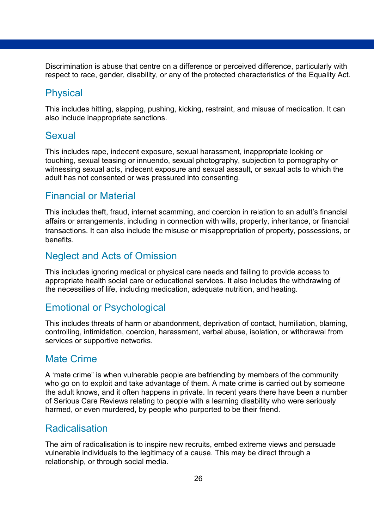Discrimination is abuse that centre on a difference or perceived difference, particularly with respect to race, gender, disability, or any of the protected characteristics of the Equality Act.

#### **Physical**

This includes hitting, slapping, pushing, kicking, restraint, and misuse of medication. It can also include inappropriate sanctions.

#### Sexual

This includes rape, indecent exposure, sexual harassment, inappropriate looking or touching, sexual teasing or innuendo, sexual photography, subjection to pornography or witnessing sexual acts, indecent exposure and sexual assault, or sexual acts to which the adult has not consented or was pressured into consenting.

#### Financial or Material

This includes theft, fraud, internet scamming, and coercion in relation to an adult's financial affairs or arrangements, including in connection with wills, property, inheritance, or financial transactions. It can also include the misuse or misappropriation of property, possessions, or benefits.

#### Neglect and Acts of Omission

This includes ignoring medical or physical care needs and failing to provide access to appropriate health social care or educational services. It also includes the withdrawing of the necessities of life, including medication, adequate nutrition, and heating.

#### Emotional or Psychological

This includes threats of harm or abandonment, deprivation of contact, humiliation, blaming, controlling, intimidation, coercion, harassment, verbal abuse, isolation, or withdrawal from services or supportive networks.

#### Mate Crime

A 'mate crime" is when vulnerable people are befriending by members of the community who go on to exploit and take advantage of them. A mate crime is carried out by someone the adult knows, and it often happens in private. In recent years there have been a number of Serious Care Reviews relating to people with a learning disability who were seriously harmed, or even murdered, by people who purported to be their friend.

#### Radicalisation

The aim of radicalisation is to inspire new recruits, embed extreme views and persuade vulnerable individuals to the legitimacy of a cause. This may be direct through a relationship, or through social media.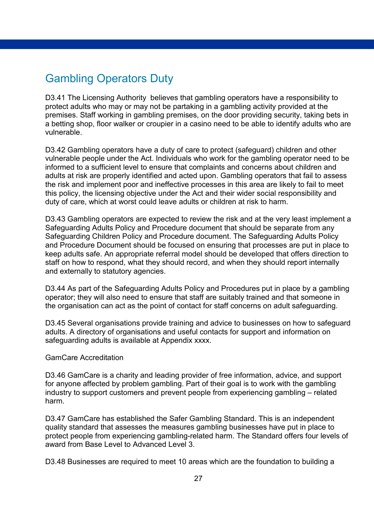### <span id="page-26-0"></span>Gambling Operators Duty

D3.41 The Licensing Authority believes that gambling operators have a responsibility to protect adults who may or may not be partaking in a gambling activity provided at the premises. Staff working in gambling premises, on the door providing security, taking bets in a betting shop, floor walker or croupier in a casino need to be able to identify adults who are vulnerable.

D3.42 Gambling operators have a duty of care to protect (safeguard) children and other vulnerable people under the Act. Individuals who work for the gambling operator need to be informed to a sufficient level to ensure that complaints and concerns about children and adults at risk are properly identified and acted upon. Gambling operators that fail to assess the risk and implement poor and ineffective processes in this area are likely to fail to meet this policy, the licensing objective under the Act and their wider social responsibility and duty of care, which at worst could leave adults or children at risk to harm.

D3.43 Gambling operators are expected to review the risk and at the very least implement a Safeguarding Adults Policy and Procedure document that should be separate from any Safeguarding Children Policy and Procedure document. The Safeguarding Adults Policy and Procedure Document should be focused on ensuring that processes are put in place to keep adults safe. An appropriate referral model should be developed that offers direction to staff on how to respond, what they should record, and when they should report internally and externally to statutory agencies.

D3.44 As part of the Safeguarding Adults Policy and Procedures put in place by a gambling operator; they will also need to ensure that staff are suitably trained and that someone in the organisation can act as the point of contact for staff concerns on adult safeguarding.

D3.45 Several organisations provide training and advice to businesses on how to safeguard adults. A directory of organisations and useful contacts for support and information on safeguarding adults is available at Appendix xxxx.

#### GamCare Accreditation

D3.46 GamCare is a charity and leading provider of free information, advice, and support for anyone affected by problem gambling. Part of their goal is to work with the gambling industry to support customers and prevent people from experiencing gambling – related harm.

D3.47 GamCare has established the Safer Gambling Standard. This is an independent quality standard that assesses the measures gambling businesses have put in place to protect people from experiencing gambling-related harm. The Standard offers four levels of award from Base Level to Advanced Level 3.

D3.48 Businesses are required to meet 10 areas which are the foundation to building a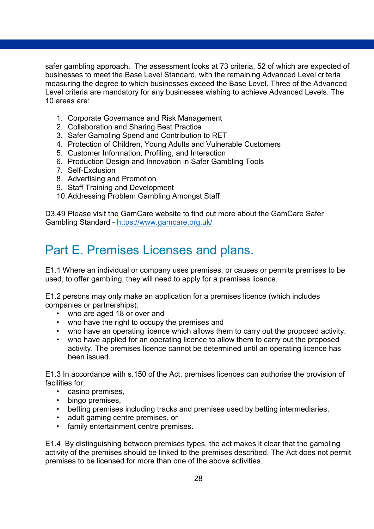safer gambling approach. The assessment looks at 73 criteria, 52 of which are expected of businesses to meet the Base Level Standard, with the remaining Advanced Level criteria measuring the degree to which businesses exceed the Base Level. Three of the Advanced Level criteria are mandatory for any businesses wishing to achieve Advanced Levels. The 10 areas are:

- 1. Corporate Governance and Risk Management
- 2. Collaboration and Sharing Best Practice
- 3. Safer Gambling Spend and Contribution to RET
- 4. Protection of Children, Young Adults and Vulnerable Customers
- 5. Customer Information, Profiling, and Interaction
- 6. Production Design and Innovation in Safer Gambling Tools
- 7. Self-Exclusion
- 8. Advertising and Promotion
- 9. Staff Training and Development
- 10.Addressing Problem Gambling Amongst Staff

D3.49 Please visit the GamCare website to find out more about the GamCare Safer Gambling Standard - <https://www.gamcare.org.uk/>

# <span id="page-27-0"></span>Part E. Premises Licenses and plans.

E1.1 Where an individual or company uses premises, or causes or permits premises to be used, to offer gambling, they will need to apply for a premises licence.

E1.2 persons may only make an application for a premises licence (which includes companies or partnerships):

- who are aged 18 or over and
- who have the right to occupy the premises and
- who have an operating licence which allows them to carry out the proposed activity.
- who have applied for an operating licence to allow them to carry out the proposed activity. The premises licence cannot be determined until an operating licence has been issued.

E1.3 In accordance with s.150 of the Act, premises licences can authorise the provision of facilities for;

- casino premises,
- bingo premises,
- betting premises including tracks and premises used by betting intermediaries,
- adult gaming centre premises, or
- family entertainment centre premises.

E1.4 By distinguishing between premises types, the act makes it clear that the gambling activity of the premises should be linked to the premises described. The Act does not permit premises to be licensed for more than one of the above activities.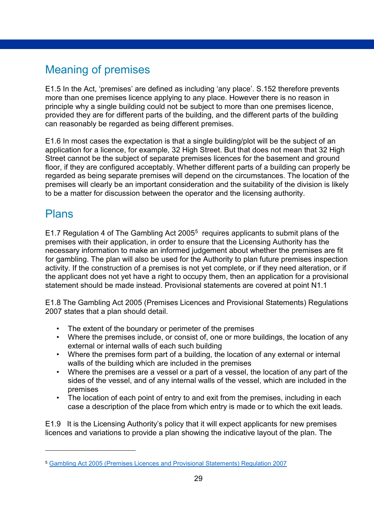# <span id="page-28-0"></span>Meaning of premises

E1.5 In the Act, 'premises' are defined as including 'any place'. S.152 therefore prevents more than one premises licence applying to any place. However there is no reason in principle why a single building could not be subject to more than one premises licence, provided they are for different parts of the building, and the different parts of the building can reasonably be regarded as being different premises.

E1.6 In most cases the expectation is that a single building/plot will be the subject of an application for a licence, for example, 32 High Street. But that does not mean that 32 High Street cannot be the subject of separate premises licences for the basement and ground floor, if they are configured acceptably. Whether different parts of a building can properly be regarded as being separate premises will depend on the circumstances. The location of the premises will clearly be an important consideration and the suitability of the division is likely to be a matter for discussion between the operator and the licensing authority.

### <span id="page-28-1"></span>Plans

-

E1.7 Regulation 4 of The Gambling Act 200[5](#page-28-2)<sup>5</sup> requires applicants to submit plans of the premises with their application, in order to ensure that the Licensing Authority has the necessary information to make an informed judgement about whether the premises are fit for gambling. The plan will also be used for the Authority to plan future premises inspection activity. If the construction of a premises is not yet complete, or if they need alteration, or if the applicant does not yet have a right to occupy them, then an application for a provisional statement should be made instead. Provisional statements are covered at point N1.1

E1.8 The Gambling Act 2005 (Premises Licences and Provisional Statements) Regulations 2007 states that a plan should detail.

- The extent of the boundary or perimeter of the premises
- Where the premises include, or consist of, one or more buildings, the location of any external or internal walls of each such building
- Where the premises form part of a building, the location of any external or internal walls of the building which are included in the premises
- Where the premises are a vessel or a part of a vessel, the location of any part of the sides of the vessel, and of any internal walls of the vessel, which are included in the premises
- The location of each point of entry to and exit from the premises, including in each case a description of the place from which entry is made or to which the exit leads.

E1.9 It is the Licensing Authority's policy that it will expect applicants for new premises licences and variations to provide a plan showing the indicative layout of the plan. The

<span id="page-28-2"></span><sup>5</sup> [Gambling Act 2005 \(Premises Licences and Provisional Statements\) Regulation 2007](https://www.legislation.gov.uk/uksi/2007/459/contents/made)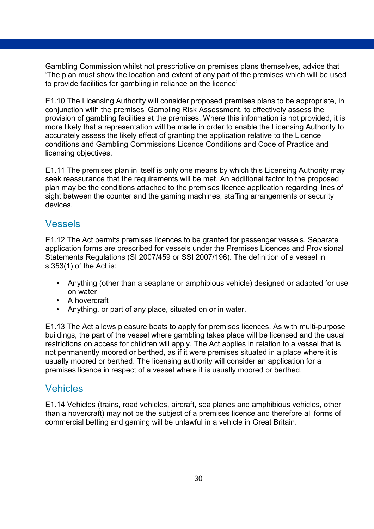Gambling Commission whilst not prescriptive on premises plans themselves, advice that 'The plan must show the location and extent of any part of the premises which will be used to provide facilities for gambling in reliance on the licence'

E1.10 The Licensing Authority will consider proposed premises plans to be appropriate, in conjunction with the premises' Gambling Risk Assessment, to effectively assess the provision of gambling facilities at the premises. Where this information is not provided, it is more likely that a representation will be made in order to enable the Licensing Authority to accurately assess the likely effect of granting the application relative to the Licence conditions and Gambling Commissions Licence Conditions and Code of Practice and licensing objectives.

E1.11 The premises plan in itself is only one means by which this Licensing Authority may seek reassurance that the requirements will be met. An additional factor to the proposed plan may be the conditions attached to the premises licence application regarding lines of sight between the counter and the gaming machines, staffing arrangements or security devices.

#### Vessels

E1.12 The Act permits premises licences to be granted for passenger vessels. Separate application forms are prescribed for vessels under the Premises Licences and Provisional Statements Regulations (SI 2007/459 or SSI 2007/196). The definition of a vessel in s.353(1) of the Act is:

- Anything (other than a seaplane or amphibious vehicle) designed or adapted for use on water
- A hovercraft
- Anything, or part of any place, situated on or in water.

E1.13 The Act allows pleasure boats to apply for premises licences. As with multi-purpose buildings, the part of the vessel where gambling takes place will be licensed and the usual restrictions on access for children will apply. The Act applies in relation to a vessel that is not permanently moored or berthed, as if it were premises situated in a place where it is usually moored or berthed. The licensing authority will consider an application for a premises licence in respect of a vessel where it is usually moored or berthed.

#### Vehicles

E1.14 Vehicles (trains, road vehicles, aircraft, sea planes and amphibious vehicles, other than a hovercraft) may not be the subject of a premises licence and therefore all forms of commercial betting and gaming will be unlawful in a vehicle in Great Britain.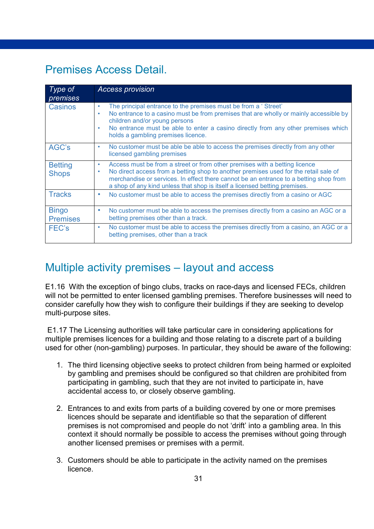# <span id="page-30-0"></span>Premises Access Detail.

| Type of<br>premises             | <b>Access provision</b>                                                                                                                                                                                                                                                                                                                             |
|---------------------------------|-----------------------------------------------------------------------------------------------------------------------------------------------------------------------------------------------------------------------------------------------------------------------------------------------------------------------------------------------------|
| Casinos                         | The principal entrance to the premises must be from a 'Street'<br>٠<br>No entrance to a casino must be from premises that are wholly or mainly accessible by<br>children and/or young persons<br>No entrance must be able to enter a casino directly from any other premises which<br>۰<br>holds a gambling premises licence.                       |
| AGC's                           | No customer must be able be able to access the premises directly from any other<br>۰<br>licensed gambling premises                                                                                                                                                                                                                                  |
| <b>Betting</b><br><b>Shops</b>  | Access must be from a street or from other premises with a betting licence<br>۰<br>No direct access from a betting shop to another premises used for the retail sale of<br>۰<br>merchandise or services. In effect there cannot be an entrance to a betting shop from<br>a shop of any kind unless that shop is itself a licensed betting premises. |
| <b>Tracks</b>                   | No customer must be able to access the premises directly from a casino or AGC<br>۰                                                                                                                                                                                                                                                                  |
| <b>Bingo</b><br><b>Premises</b> | No customer must be able to access the premises directly from a casino an AGC or a<br>betting premises other than a track.                                                                                                                                                                                                                          |
| FEC's                           | No customer must be able to access the premises directly from a casino, an AGC or a<br>۰<br>betting premises, other than a track                                                                                                                                                                                                                    |

# <span id="page-30-1"></span>Multiple activity premises – layout and access

E1.16 With the exception of bingo clubs, tracks on race-days and licensed FECs, children will not be permitted to enter licensed gambling premises. Therefore businesses will need to consider carefully how they wish to configure their buildings if they are seeking to develop multi-purpose sites.

E1.17 The Licensing authorities will take particular care in considering applications for multiple premises licences for a building and those relating to a discrete part of a building used for other (non-gambling) purposes. In particular, they should be aware of the following:

- 1. The third licensing objective seeks to protect children from being harmed or exploited by gambling and premises should be configured so that children are prohibited from participating in gambling, such that they are not invited to participate in, have accidental access to, or closely observe gambling.
- 2. Entrances to and exits from parts of a building covered by one or more premises licences should be separate and identifiable so that the separation of different premises is not compromised and people do not 'drift' into a gambling area. In this context it should normally be possible to access the premises without going through another licensed premises or premises with a permit.
- 3. Customers should be able to participate in the activity named on the premises licence.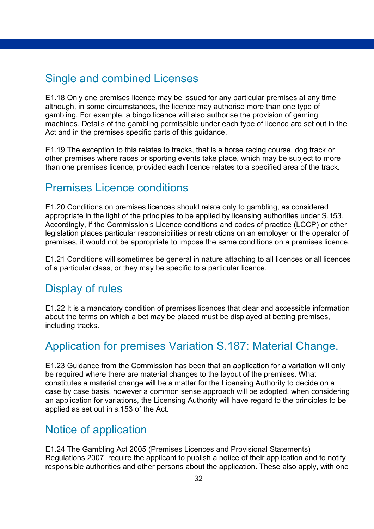### <span id="page-31-0"></span>Single and combined Licenses

E1.18 Only one premises licence may be issued for any particular premises at any time although, in some circumstances, the licence may authorise more than one type of gambling. For example, a bingo licence will also authorise the provision of gaming machines. Details of the gambling permissible under each type of licence are set out in the Act and in the premises specific parts of this guidance.

E1.19 The exception to this relates to tracks, that is a horse racing course, dog track or other premises where races or sporting events take place, which may be subject to more than one premises licence, provided each licence relates to a specified area of the track.

### <span id="page-31-1"></span>Premises Licence conditions

E1.20 Conditions on premises licences should relate only to gambling, as considered appropriate in the light of the principles to be applied by licensing authorities under S.153. Accordingly, if the Commission's Licence conditions and codes of practice (LCCP) or other legislation places particular responsibilities or restrictions on an employer or the operator of premises, it would not be appropriate to impose the same conditions on a premises licence.

E1.21 Conditions will sometimes be general in nature attaching to all licences or all licences of a particular class, or they may be specific to a particular licence.

### <span id="page-31-2"></span>Display of rules

E1.22 It is a mandatory condition of premises licences that clear and accessible information about the terms on which a bet may be placed must be displayed at betting premises, including tracks.

### <span id="page-31-3"></span>Application for premises Variation S.187: Material Change.

E1.23 Guidance from the Commission has been that an application for a variation will only be required where there are material changes to the layout of the premises. What constitutes a material change will be a matter for the Licensing Authority to decide on a case by case basis, however a common sense approach will be adopted, when considering an application for variations, the Licensing Authority will have regard to the principles to be applied as set out in s.153 of the Act.

## <span id="page-31-4"></span>Notice of application

E1.24 The Gambling Act 2005 (Premises Licences and Provisional Statements) Regulations 2007 require the applicant to publish a notice of their application and to notify responsible authorities and other persons about the application. These also apply, with one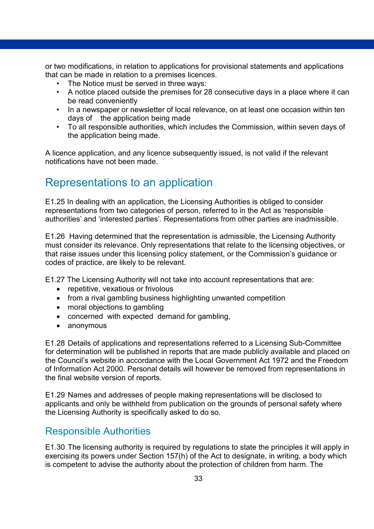or two modifications, in relation to applications for provisional statements and applications that can be made in relation to a premises licences.

- The Notice must be served in three ways:
- A notice placed outside the premises for 28 consecutive days in a place where it can be read conveniently
- In a newspaper or newsletter of local relevance, on at least one occasion within ten days of the application being made
- To all responsible authorities, which includes the Commission, within seven days of the application being made.

A licence application, and any licence subsequently issued, is not valid if the relevant notifications have not been made.

### <span id="page-32-0"></span>Representations to an application

E1.25 In dealing with an application, the Licensing Authorities is obliged to consider representations from two categories of person, referred to in the Act as 'responsible authorities' and 'interested parties'. Representations from other parties are inadmissible.

E1.26 Having determined that the representation is admissible, the Licensing Authority must consider its relevance. Only representations that relate to the licensing objectives, or that raise issues under this licensing policy statement, or the Commission's guidance or codes of practice, are likely to be relevant.

E1.27 The Licensing Authority will not take into account representations that are:

- repetitive, vexatious or frivolous
- from a rival gambling business highlighting unwanted competition
- moral objections to gambling
- concerned with expected demand for gambling,
- anonymous

E1.28 Details of applications and representations referred to a Licensing Sub-Committee for determination will be published in reports that are made publicly available and placed on the Council's website in accordance with the Local Government Act 1972 and the Freedom of Information Act 2000. Personal details will however be removed from representations in the final website version of reports.

E1.29 Names and addresses of people making representations will be disclosed to applicants and only be withheld from publication on the grounds of personal safety where the Licensing Authority is specifically asked to do so.

#### Responsible Authorities

E1.30 The licensing authority is required by regulations to state the principles it will apply in exercising its powers under Section 157(h) of the Act to designate, in writing, a body which is competent to advise the authority about the protection of children from harm. The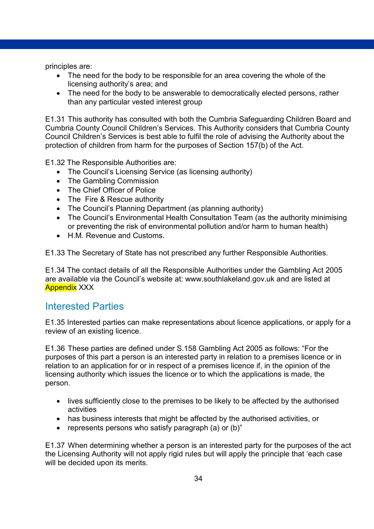principles are:

- The need for the body to be responsible for an area covering the whole of the licensing authority's area; and
- The need for the body to be answerable to democratically elected persons, rather than any particular vested interest group

E1.31 This authority has consulted with both the Cumbria Safeguarding Children Board and Cumbria County Council Children's Services. This Authority considers that Cumbria County Council Children's Services is best able to fulfil the role of advising the Authority about the protection of children from harm for the purposes of Section 157(b) of the Act.

E1.32 The Responsible Authorities are:

- The Council's Licensing Service (as licensing authority)
- The Gambling Commission
- The Chief Officer of Police
- The Fire & Rescue authority
- The Council's Planning Department (as planning authority)
- The Council's Environmental Health Consultation Team (as the authority minimising or preventing the risk of environmental pollution and/or harm to human health)
- H.M. Revenue and Customs.

E1.33 The Secretary of State has not prescribed any further Responsible Authorities.

E1.34 The contact details of all the Responsible Authorities under the Gambling Act 2005 are available via the Council's website at: www.southlakeland.gov.uk and are listed at Appendix XXX

#### Interested Parties

E1.35 Interested parties can make representations about licence applications, or apply for a review of an existing licence.

E1.36 These parties are defined under S.158 Gambling Act 2005 as follows: "For the purposes of this part a person is an interested party in relation to a premises licence or in relation to an application for or in respect of a premises licence if, in the opinion of the licensing authority which issues the licence or to which the applications is made, the person.

- lives sufficiently close to the premises to be likely to be affected by the authorised activities
- has business interests that might be affected by the authorised activities, or
- represents persons who satisfy paragraph (a) or (b)"

E1.37 When determining whether a person is an interested party for the purposes of the act the Licensing Authority will not apply rigid rules but will apply the principle that 'each case will be decided upon its merits.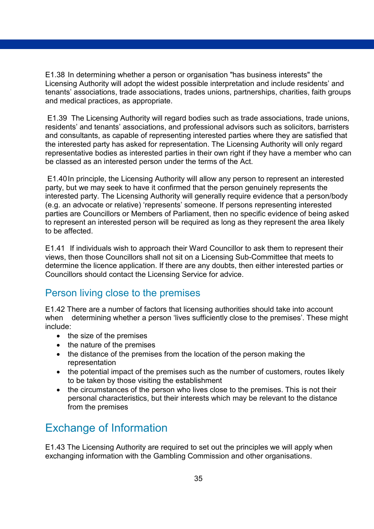E1.38 In determining whether a person or organisation "has business interests" the Licensing Authority will adopt the widest possible interpretation and include residents' and tenants' associations, trade associations, trades unions, partnerships, charities, faith groups and medical practices, as appropriate.

E1.39 The Licensing Authority will regard bodies such as trade associations, trade unions, residents' and tenants' associations, and professional advisors such as solicitors, barristers and consultants, as capable of representing interested parties where they are satisfied that the interested party has asked for representation. The Licensing Authority will only regard representative bodies as interested parties in their own right if they have a member who can be classed as an interested person under the terms of the Act.

E1.40In principle, the Licensing Authority will allow any person to represent an interested party, but we may seek to have it confirmed that the person genuinely represents the interested party. The Licensing Authority will generally require evidence that a person/body (e.g. an advocate or relative) 'represents' someone. If persons representing interested parties are Councillors or Members of Parliament, then no specific evidence of being asked to represent an interested person will be required as long as they represent the area likely to be affected.

E1.41 If individuals wish to approach their Ward Councillor to ask them to represent their views, then those Councillors shall not sit on a Licensing Sub-Committee that meets to determine the licence application. If there are any doubts, then either interested parties or Councillors should contact the Licensing Service for advice.

### Person living close to the premises

E1.42 There are a number of factors that licensing authorities should take into account when determining whether a person 'lives sufficiently close to the premises'. These might include:

- the size of the premises
- the nature of the premises
- the distance of the premises from the location of the person making the representation
- the potential impact of the premises such as the number of customers, routes likely to be taken by those visiting the establishment
- the circumstances of the person who lives close to the premises. This is not their personal characteristics, but their interests which may be relevant to the distance from the premises

## <span id="page-34-0"></span>Exchange of Information

E1.43 The Licensing Authority are required to set out the principles we will apply when exchanging information with the Gambling Commission and other organisations.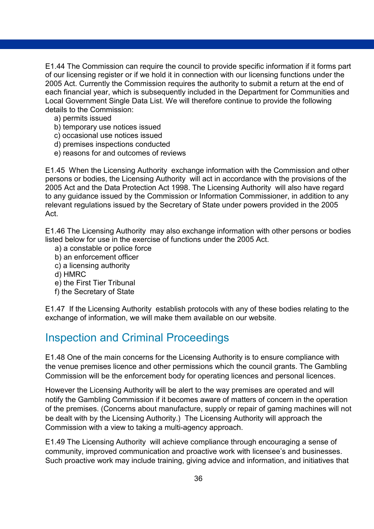E1.44 The Commission can require the council to provide specific information if it forms part of our licensing register or if we hold it in connection with our licensing functions under the 2005 Act. Currently the Commission requires the authority to submit a return at the end of each financial year, which is subsequently included in the Department for Communities and Local Government Single Data List. We will therefore continue to provide the following details to the Commission:

- a) permits issued
- b) temporary use notices issued
- c) occasional use notices issued
- d) premises inspections conducted
- e) reasons for and outcomes of reviews

E1.45 When the Licensing Authority exchange information with the Commission and other persons or bodies, the Licensing Authority will act in accordance with the provisions of the 2005 Act and the Data Protection Act 1998. The Licensing Authority will also have regard to any guidance issued by the Commission or Information Commissioner, in addition to any relevant regulations issued by the Secretary of State under powers provided in the 2005 Act.

E1.46 The Licensing Authority may also exchange information with other persons or bodies listed below for use in the exercise of functions under the 2005 Act.

- a) a constable or police force
- b) an enforcement officer
- c) a licensing authority
- d) HMRC
- e) the First Tier Tribunal
- f) the Secretary of State

E1.47 If the Licensing Authority establish protocols with any of these bodies relating to the exchange of information, we will make them available on our website.

### <span id="page-35-0"></span>Inspection and Criminal Proceedings

E1.48 One of the main concerns for the Licensing Authority is to ensure compliance with the venue premises licence and other permissions which the council grants. The Gambling Commission will be the enforcement body for operating licences and personal licences.

However the Licensing Authority will be alert to the way premises are operated and will notify the Gambling Commission if it becomes aware of matters of concern in the operation of the premises. (Concerns about manufacture, supply or repair of gaming machines will not be dealt with by the Licensing Authority.) The Licensing Authority will approach the Commission with a view to taking a multi-agency approach.

E1.49 The Licensing Authority will achieve compliance through encouraging a sense of community, improved communication and proactive work with licensee's and businesses. Such proactive work may include training, giving advice and information, and initiatives that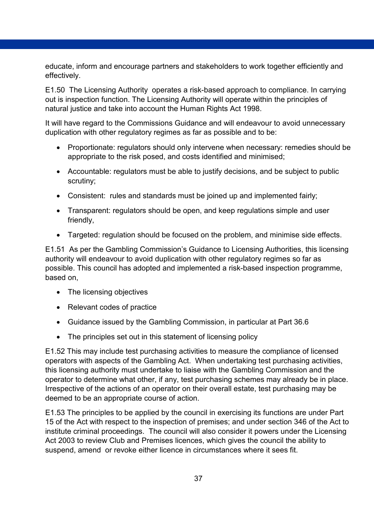educate, inform and encourage partners and stakeholders to work together efficiently and effectively.

E1.50 The Licensing Authority operates a risk-based approach to compliance. In carrying out is inspection function. The Licensing Authority will operate within the principles of natural justice and take into account the Human Rights Act 1998.

It will have regard to the Commissions Guidance and will endeavour to avoid unnecessary duplication with other regulatory regimes as far as possible and to be:

- Proportionate: regulators should only intervene when necessary: remedies should be appropriate to the risk posed, and costs identified and minimised;
- Accountable: regulators must be able to justify decisions, and be subject to public scrutiny;
- Consistent: rules and standards must be joined up and implemented fairly;
- Transparent: regulators should be open, and keep regulations simple and user friendly,
- Targeted: regulation should be focused on the problem, and minimise side effects.

E1.51 As per the Gambling Commission's Guidance to Licensing Authorities, this licensing authority will endeavour to avoid duplication with other regulatory regimes so far as possible. This council has adopted and implemented a risk-based inspection programme, based on,

- The licensing objectives
- Relevant codes of practice
- Guidance issued by the Gambling Commission, in particular at Part 36.6
- The principles set out in this statement of licensing policy

E1.52 This may include test purchasing activities to measure the compliance of licensed operators with aspects of the Gambling Act. When undertaking test purchasing activities, this licensing authority must undertake to liaise with the Gambling Commission and the operator to determine what other, if any, test purchasing schemes may already be in place. Irrespective of the actions of an operator on their overall estate, test purchasing may be deemed to be an appropriate course of action.

E1.53 The principles to be applied by the council in exercising its functions are under Part 15 of the Act with respect to the inspection of premises; and under section 346 of the Act to institute criminal proceedings. The council will also consider it powers under the Licensing Act 2003 to review Club and Premises licences, which gives the council the ability to suspend, amend or revoke either licence in circumstances where it sees fit.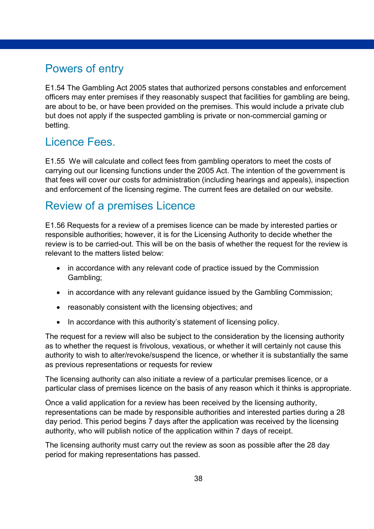## <span id="page-37-0"></span>Powers of entry

E1.54 The Gambling Act 2005 states that authorized persons constables and enforcement officers may enter premises if they reasonably suspect that facilities for gambling are being, are about to be, or have been provided on the premises. This would include a private club but does not apply if the suspected gambling is private or non-commercial gaming or betting.

### <span id="page-37-1"></span>Licence Fees.

E1.55 We will calculate and collect fees from gambling operators to meet the costs of carrying out our licensing functions under the 2005 Act. The intention of the government is that fees will cover our costs for administration (including hearings and appeals), inspection and enforcement of the licensing regime. The current fees are detailed on our website.

### <span id="page-37-2"></span>Review of a premises Licence

E1.56 Requests for a review of a premises licence can be made by interested parties or responsible authorities; however, it is for the Licensing Authority to decide whether the review is to be carried-out. This will be on the basis of whether the request for the review is relevant to the matters listed below:

- in accordance with any relevant code of practice issued by the Commission Gambling;
- in accordance with any relevant guidance issued by the Gambling Commission;
- reasonably consistent with the licensing objectives; and
- In accordance with this authority's statement of licensing policy.

The request for a review will also be subject to the consideration by the licensing authority as to whether the request is frivolous, vexatious, or whether it will certainly not cause this authority to wish to alter/revoke/suspend the licence, or whether it is substantially the same as previous representations or requests for review

The licensing authority can also initiate a review of a particular premises licence, or a particular class of premises licence on the basis of any reason which it thinks is appropriate.

Once a valid application for a review has been received by the licensing authority, representations can be made by responsible authorities and interested parties during a 28 day period. This period begins 7 days after the application was received by the licensing authority, who will publish notice of the application within 7 days of receipt.

The licensing authority must carry out the review as soon as possible after the 28 day period for making representations has passed.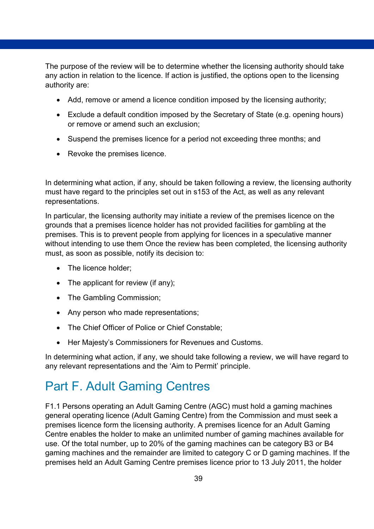The purpose of the review will be to determine whether the licensing authority should take any action in relation to the licence. If action is justified, the options open to the licensing authority are:

- Add, remove or amend a licence condition imposed by the licensing authority;
- Exclude a default condition imposed by the Secretary of State (e.g. opening hours) or remove or amend such an exclusion;
- Suspend the premises licence for a period not exceeding three months; and
- Revoke the premises licence.

In determining what action, if any, should be taken following a review, the licensing authority must have regard to the principles set out in s153 of the Act, as well as any relevant representations.

In particular, the licensing authority may initiate a review of the premises licence on the grounds that a premises licence holder has not provided facilities for gambling at the premises. This is to prevent people from applying for licences in a speculative manner without intending to use them Once the review has been completed, the licensing authority must, as soon as possible, notify its decision to:

- The licence holder:
- The applicant for review (if any);
- The Gambling Commission;
- Any person who made representations;
- The Chief Officer of Police or Chief Constable;
- Her Majesty's Commissioners for Revenues and Customs.

In determining what action, if any, we should take following a review, we will have regard to any relevant representations and the 'Aim to Permit' principle.

# <span id="page-38-0"></span>Part F. Adult Gaming Centres

F1.1 Persons operating an Adult Gaming Centre (AGC) must hold a gaming machines general operating licence (Adult Gaming Centre) from the Commission and must seek a premises licence form the licensing authority. A premises licence for an Adult Gaming Centre enables the holder to make an unlimited number of gaming machines available for use. Of the total number, up to 20% of the gaming machines can be category B3 or B4 gaming machines and the remainder are limited to category C or D gaming machines. If the premises held an Adult Gaming Centre premises licence prior to 13 July 2011, the holder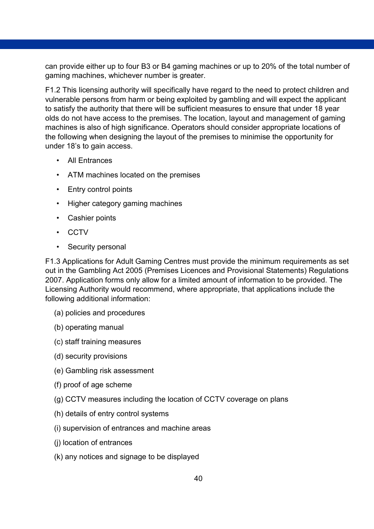can provide either up to four B3 or B4 gaming machines or up to 20% of the total number of gaming machines, whichever number is greater.

F1.2 This licensing authority will specifically have regard to the need to protect children and vulnerable persons from harm or being exploited by gambling and will expect the applicant to satisfy the authority that there will be sufficient measures to ensure that under 18 year olds do not have access to the premises. The location, layout and management of gaming machines is also of high significance. Operators should consider appropriate locations of the following when designing the layout of the premises to minimise the opportunity for under 18's to gain access.

- All Entrances
- ATM machines located on the premises
- Entry control points
- Higher category gaming machines
- Cashier points
- CCTV
- Security personal

F1.3 Applications for Adult Gaming Centres must provide the minimum requirements as set out in the Gambling Act 2005 (Premises Licences and Provisional Statements) Regulations 2007. Application forms only allow for a limited amount of information to be provided. The Licensing Authority would recommend, where appropriate, that applications include the following additional information:

- (a) policies and procedures
- (b) operating manual
- (c) staff training measures
- (d) security provisions
- (e) Gambling risk assessment
- (f) proof of age scheme
- (g) CCTV measures including the location of CCTV coverage on plans
- (h) details of entry control systems
- (i) supervision of entrances and machine areas
- (j) location of entrances
- (k) any notices and signage to be displayed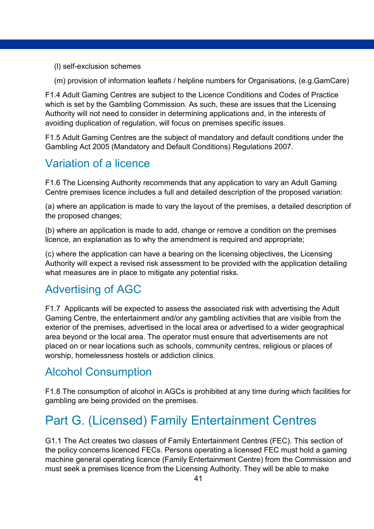- (l) self-exclusion schemes
- (m) provision of information leaflets / helpline numbers for Organisations, (e.g.GamCare)

F1.4 Adult Gaming Centres are subject to the Licence Conditions and Codes of Practice which is set by the Gambling Commission. As such, these are issues that the Licensing Authority will not need to consider in determining applications and, in the interests of avoiding duplication of regulation, will focus on premises specific issues.

F1.5 Adult Gaming Centres are the subject of mandatory and default conditions under the Gambling Act 2005 (Mandatory and Default Conditions) Regulations 2007.

# <span id="page-40-0"></span>Variation of a licence

F1.6 The Licensing Authority recommends that any application to vary an Adult Gaming Centre premises licence includes a full and detailed description of the proposed variation:

(a) where an application is made to vary the layout of the premises, a detailed description of the proposed changes;

(b) where an application is made to add, change or remove a condition on the premises licence, an explanation as to why the amendment is required and appropriate;

(c) where the application can have a bearing on the licensing objectives, the Licensing Authority will expect a revised risk assessment to be provided with the application detailing what measures are in place to mitigate any potential risks.

## <span id="page-40-1"></span>Advertising of AGC

F1.7 Applicants will be expected to assess the associated risk with advertising the Adult Gaming Centre, the entertainment and/or any gambling activities that are visible from the exterior of the premises, advertised in the local area or advertised to a wider geographical area beyond or the local area. The operator must ensure that advertisements are not placed on or near locations such as schools, community centres, religious or places of worship, homelessness hostels or addiction clinics.

## <span id="page-40-2"></span>Alcohol Consumption

F1.8 The consumption of alcohol in AGCs is prohibited at any time during which facilities for gambling are being provided on the premises.

# <span id="page-40-3"></span>Part G. (Licensed) Family Entertainment Centres

G1.1 The Act creates two classes of Family Entertainment Centres (FEC). This section of the policy concerns licenced FECs. Persons operating a licensed FEC must hold a gaming machine general operating licence (Family Entertainment Centre) from the Commission and must seek a premises licence from the Licensing Authority. They will be able to make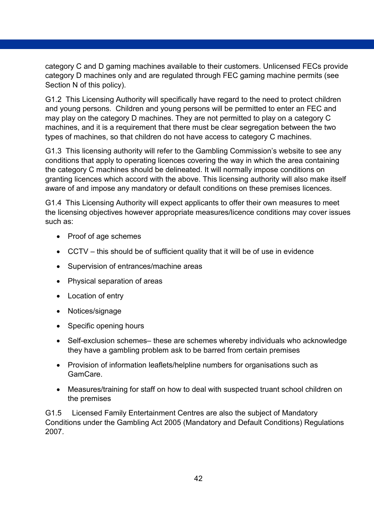category C and D gaming machines available to their customers. Unlicensed FECs provide category D machines only and are regulated through FEC gaming machine permits (see Section N of this policy).

G1.2 This Licensing Authority will specifically have regard to the need to protect children and young persons. Children and young persons will be permitted to enter an FEC and may play on the category D machines. They are not permitted to play on a category C machines, and it is a requirement that there must be clear segregation between the two types of machines, so that children do not have access to category C machines.

G1.3 This licensing authority will refer to the Gambling Commission's website to see any conditions that apply to operating licences covering the way in which the area containing the category C machines should be delineated. It will normally impose conditions on granting licences which accord with the above. This licensing authority will also make itself aware of and impose any mandatory or default conditions on these premises licences.

G1.4 This Licensing Authority will expect applicants to offer their own measures to meet the licensing objectives however appropriate measures/licence conditions may cover issues such as:

- Proof of age schemes
- CCTV this should be of sufficient quality that it will be of use in evidence
- Supervision of entrances/machine areas
- Physical separation of areas
- Location of entry
- Notices/signage
- Specific opening hours
- Self-exclusion schemes– these are schemes whereby individuals who acknowledge they have a gambling problem ask to be barred from certain premises
- Provision of information leaflets/helpline numbers for organisations such as GamCare.
- Measures/training for staff on how to deal with suspected truant school children on the premises

G1.5 Licensed Family Entertainment Centres are also the subject of Mandatory Conditions under the Gambling Act 2005 (Mandatory and Default Conditions) Regulations 2007.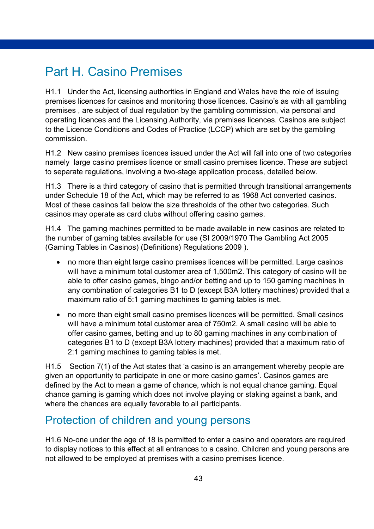# <span id="page-42-0"></span>Part H. Casino Premises

H1.1 Under the Act, licensing authorities in England and Wales have the role of issuing premises licences for casinos and monitoring those licences. Casino's as with all gambling premises , are subject of dual regulation by the gambling commission, via personal and operating licences and the Licensing Authority, via premises licences. Casinos are subject to the Licence Conditions and Codes of Practice (LCCP) which are set by the gambling commission.

H1.2 New casino premises licences issued under the Act will fall into one of two categories namely large casino premises licence or small casino premises licence. These are subject to separate regulations, involving a two-stage application process, detailed below.

H1.3 There is a third category of casino that is permitted through transitional arrangements under Schedule 18 of the Act, which may be referred to as 1968 Act converted casinos. Most of these casinos fall below the size thresholds of the other two categories. Such casinos may operate as card clubs without offering casino games.

H1.4 The gaming machines permitted to be made available in new casinos are related to the number of gaming tables available for use (SI 2009/1970 The Gambling Act 2005 (Gaming Tables in Casinos) (Definitions) Regulations 2009 ).

- no more than eight large casino premises licences will be permitted. Large casinos will have a minimum total customer area of 1,500m2. This category of casino will be able to offer casino games, bingo and/or betting and up to 150 gaming machines in any combination of categories B1 to D (except B3A lottery machines) provided that a maximum ratio of 5:1 gaming machines to gaming tables is met.
- no more than eight small casino premises licences will be permitted. Small casinos will have a minimum total customer area of 750m2. A small casino will be able to offer casino games, betting and up to 80 gaming machines in any combination of categories B1 to D (except B3A lottery machines) provided that a maximum ratio of 2:1 gaming machines to gaming tables is met.

H1.5 Section 7(1) of the Act states that 'a casino is an arrangement whereby people are given an opportunity to participate in one or more casino games'. Casinos games are defined by the Act to mean a game of chance, which is not equal chance gaming. Equal chance gaming is gaming which does not involve playing or staking against a bank, and where the chances are equally favorable to all participants.

### <span id="page-42-1"></span>Protection of children and young persons

H1.6 No-one under the age of 18 is permitted to enter a casino and operators are required to display notices to this effect at all entrances to a casino. Children and young persons are not allowed to be employed at premises with a casino premises licence.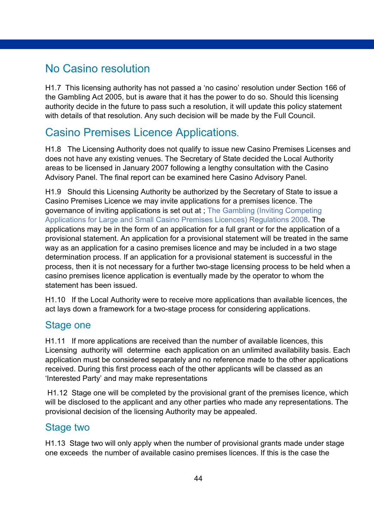### <span id="page-43-0"></span>No Casino resolution

H1.7 This licensing authority has not passed a 'no casino' resolution under Section 166 of the Gambling Act 2005, but is aware that it has the power to do so. Should this licensing authority decide in the future to pass such a resolution, it will update this policy statement with details of that resolution. Any such decision will be made by the Full Council.

### <span id="page-43-1"></span>Casino Premises Licence Applications.

H1.8 The Licensing Authority does not qualify to issue new Casino Premises Licenses and does not have any existing venues. The Secretary of State decided the Local Authority areas to be licensed in January 2007 following a lengthy consultation with the Casino Advisory Panel. The final report can be examined here Casino Advisory Panel.

H1.9Should this Licensing Authority be authorized by the Secretary of State to issue a Casino Premises Licence we may invite applications for a premises licence. The governance of inviting applications is set out at ; The Gambling (Inviting Competing Applications for Large and Small Casino Premises Licences) Regulations 2008. The applications may be in the form of an application for a full grant or for the application of a provisional statement. An application for a provisional statement will be treated in the same way as an application for a casino premises licence and may be included in a two stage determination process. If an application for a provisional statement is successful in the process, then it is not necessary for a further two-stage licensing process to be held when a casino premises licence application is eventually made by the operator to whom the statement has been issued.

H1.10If the Local Authority were to receive more applications than available licences, the act lays down a framework for a two-stage process for considering applications.

#### Stage one

H1.11If more applications are received than the number of available licences, this Licensing authority will determine each application on an unlimited availability basis. Each application must be considered separately and no reference made to the other applications received. During this first process each of the other applicants will be classed as an 'Interested Party' and may make representations

H1.12Stage one will be completed by the provisional grant of the premises licence, which will be disclosed to the applicant and any other parties who made any representations. The provisional decision of the licensing Authority may be appealed.

#### Stage two

H1.13 Stage two will only apply when the number of provisional grants made under stage one exceeds the number of available casino premises licences. If this is the case the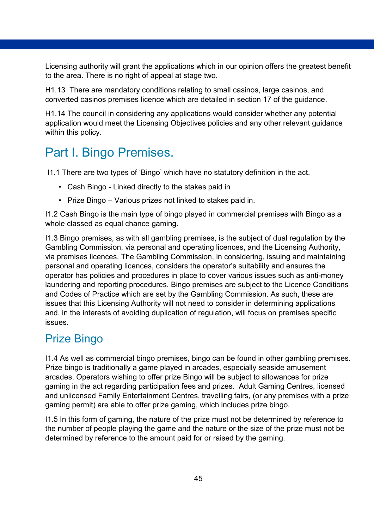Licensing authority will grant the applications which in our opinion offers the greatest benefit to the area. There is no right of appeal at stage two.

H1.13 There are mandatory conditions relating to small casinos, large casinos, and converted casinos premises licence which are detailed in section 17 of the guidance.

H1.14 The council in considering any applications would consider whether any potential application would meet the Licensing Objectives policies and any other relevant guidance within this policy.

# <span id="page-44-0"></span>Part I. Bingo Premises.

I1.1 There are two types of 'Bingo' which have no statutory definition in the act.

- Cash Bingo Linked directly to the stakes paid in
- Prize Bingo Various prizes not linked to stakes paid in.

I1.2 Cash Bingo is the main type of bingo played in commercial premises with Bingo as a whole classed as equal chance gaming.

I1.3 Bingo premises, as with all gambling premises, is the subject of dual regulation by the Gambling Commission, via personal and operating licences, and the Licensing Authority, via premises licences. The Gambling Commission, in considering, issuing and maintaining personal and operating licences, considers the operator's suitability and ensures the operator has policies and procedures in place to cover various issues such as anti-money laundering and reporting procedures. Bingo premises are subject to the Licence Conditions and Codes of Practice which are set by the Gambling Commission. As such, these are issues that this Licensing Authority will not need to consider in determining applications and, in the interests of avoiding duplication of regulation, will focus on premises specific issues.

### <span id="page-44-1"></span>Prize Bingo

I1.4 As well as commercial bingo premises, bingo can be found in other gambling premises. Prize bingo is traditionally a game played in arcades, especially seaside amusement arcades. Operators wishing to offer prize Bingo will be subject to allowances for prize gaming in the act regarding participation fees and prizes. Adult Gaming Centres, licensed and unlicensed Family Entertainment Centres, travelling fairs, (or any premises with a prize gaming permit) are able to offer prize gaming, which includes prize bingo.

I1.5 In this form of gaming, the nature of the prize must not be determined by reference to the number of people playing the game and the nature or the size of the prize must not be determined by reference to the amount paid for or raised by the gaming.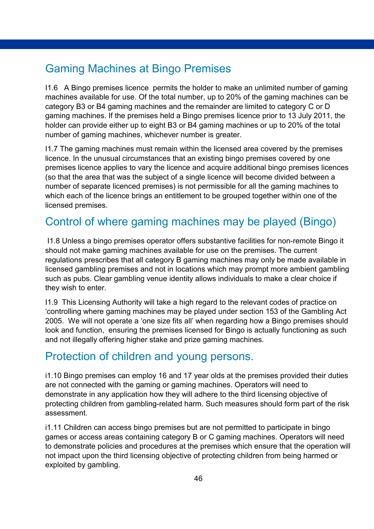## <span id="page-45-0"></span>Gaming Machines at Bingo Premises

I1.6 A Bingo premises licence permits the holder to make an unlimited number of gaming machines available for use. Of the total number, up to 20% of the gaming machines can be category B3 or B4 gaming machines and the remainder are limited to category C or D gaming machines. If the premises held a Bingo premises licence prior to 13 July 2011, the holder can provide either up to eight B3 or B4 gaming machines or up to 20% of the total number of gaming machines, whichever number is greater.

I1.7 The gaming machines must remain within the licensed area covered by the premises licence. In the unusual circumstances that an existing bingo premises covered by one premises licence applies to vary the licence and acquire additional bingo premises licences (so that the area that was the subject of a single licence will become divided between a number of separate licenced premises) is not permissible for all the gaming machines to which each of the licence brings an entitlement to be grouped together within one of the licensed premises.

## <span id="page-45-1"></span>Control of where gaming machines may be played (Bingo)

I1.8 Unless a bingo premises operator offers substantive facilities for non-remote Bingo it should not make gaming machines available for use on the premises. The current regulations prescribes that all category B gaming machines may only be made available in licensed gambling premises and not in locations which may prompt more ambient gambling such as pubs. Clear gambling venue identity allows individuals to make a clear choice if they wish to enter.

I1.9 This Licensing Authority will take a high regard to the relevant codes of practice on 'controlling where gaming machines may be played under section 153 of the Gambling Act 2005. We will not operate a 'one size fits all' when regarding how a Bingo premises should look and function, ensuring the premises licensed for Bingo is actually functioning as such and not illegally offering higher stake and prize gaming machines.

### <span id="page-45-2"></span>Protection of children and young persons.

i1.10 Bingo premises can employ 16 and 17 year olds at the premises provided their duties are not connected with the gaming or gaming machines. Operators will need to demonstrate in any application how they will adhere to the third licensing objective of protecting children from gambling-related harm. Such measures should form part of the risk assessment.

i1.11 Children can access bingo premises but are not permitted to participate in bingo games or access areas containing category B or C gaming machines. Operators will need to demonstrate policies and procedures at the premises which ensure that the operation will not impact upon the third licensing objective of protecting children from being harmed or exploited by gambling.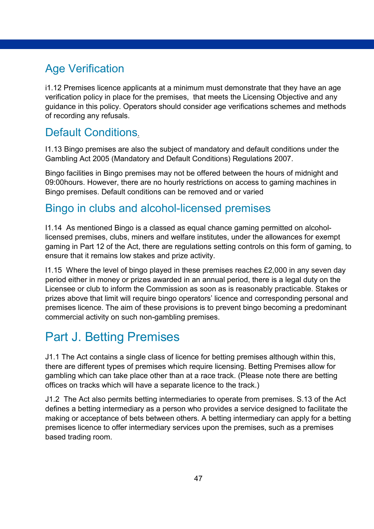# <span id="page-46-0"></span>Age Verification

i1.12 Premises licence applicants at a minimum must demonstrate that they have an age verification policy in place for the premises, that meets the Licensing Objective and any guidance in this policy. Operators should consider age verifications schemes and methods of recording any refusals.

## <span id="page-46-1"></span>Default Conditions.

I1.13 Bingo premises are also the subject of mandatory and default conditions under the Gambling Act 2005 (Mandatory and Default Conditions) Regulations 2007.

Bingo facilities in Bingo premises may not be offered between the hours of midnight and 09:00hours. However, there are no hourly restrictions on access to gaming machines in Bingo premises. Default conditions can be removed and or varied

### <span id="page-46-2"></span>Bingo in clubs and alcohol-licensed premises

I1.14 As mentioned Bingo is a classed as equal chance gaming permitted on alcohollicensed premises, clubs, miners and welfare institutes, under the allowances for exempt gaming in Part 12 of the Act, there are regulations setting controls on this form of gaming, to ensure that it remains low stakes and prize activity.

I1.15 Where the level of bingo played in these premises reaches £2,000 in any seven day period either in money or prizes awarded in an annual period, there is a legal duty on the Licensee or club to inform the Commission as soon as is reasonably practicable. Stakes or prizes above that limit will require bingo operators' licence and corresponding personal and premises licence. The aim of these provisions is to prevent bingo becoming a predominant commercial activity on such non-gambling premises.

# <span id="page-46-3"></span>Part J. Betting Premises

J1.1 The Act contains a single class of licence for betting premises although within this, there are different types of premises which require licensing. Betting Premises allow for gambling which can take place other than at a race track. (Please note there are betting offices on tracks which will have a separate licence to the track.)

J1.2 The Act also permits betting intermediaries to operate from premises. S.13 of the Act defines a betting intermediary as a person who provides a service designed to facilitate the making or acceptance of bets between others. A betting intermediary can apply for a betting premises licence to offer intermediary services upon the premises, such as a premises based trading room.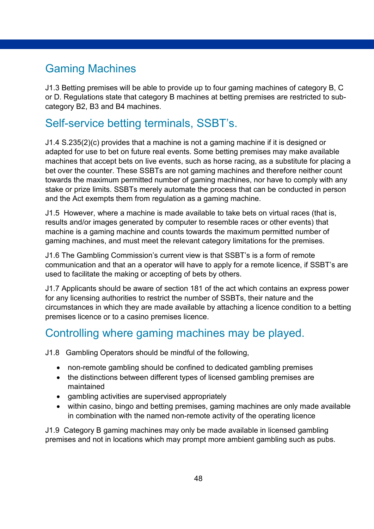# <span id="page-47-0"></span>Gaming Machines

J1.3 Betting premises will be able to provide up to four gaming machines of category B, C or D. Regulations state that category B machines at betting premises are restricted to subcategory B2, B3 and B4 machines.

# <span id="page-47-1"></span>Self-service betting terminals, SSBT's.

J1.4 S.235(2)(c) provides that a machine is not a gaming machine if it is designed or adapted for use to bet on future real events. Some betting premises may make available machines that accept bets on live events, such as horse racing, as a substitute for placing a bet over the counter. These SSBTs are not gaming machines and therefore neither count towards the maximum permitted number of gaming machines, nor have to comply with any stake or prize limits. SSBTs merely automate the process that can be conducted in person and the Act exempts them from regulation as a gaming machine.

J1.5 However, where a machine is made available to take bets on virtual races (that is, results and/or images generated by computer to resemble races or other events) that machine is a gaming machine and counts towards the maximum permitted number of gaming machines, and must meet the relevant category limitations for the premises.

J1.6 The Gambling Commission's current view is that SSBT's is a form of remote communication and that an a operator will have to apply for a remote licence, if SSBT's are used to facilitate the making or accepting of bets by others.

J1.7 Applicants should be aware of section 181 of the act which contains an express power for any licensing authorities to restrict the number of SSBTs, their nature and the circumstances in which they are made available by attaching a licence condition to a betting premises licence or to a casino premises licence.

## <span id="page-47-2"></span>Controlling where gaming machines may be played.

J1.8 Gambling Operators should be mindful of the following,

- non-remote gambling should be confined to dedicated gambling premises
- the distinctions between different types of licensed gambling premises are maintained
- gambling activities are supervised appropriately
- within casino, bingo and betting premises, gaming machines are only made available in combination with the named non-remote activity of the operating licence

J1.9 Category B gaming machines may only be made available in licensed gambling premises and not in locations which may prompt more ambient gambling such as pubs.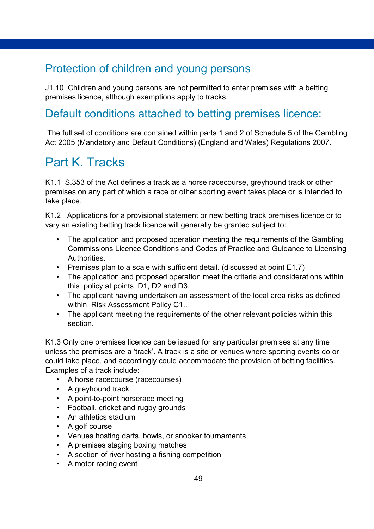# <span id="page-48-0"></span>Protection of children and young persons

J1.10 Children and young persons are not permitted to enter premises with a betting premises licence, although exemptions apply to tracks.

# <span id="page-48-1"></span>Default conditions attached to betting premises licence:

The full set of conditions are contained within parts 1 and 2 of Schedule 5 of the Gambling Act 2005 (Mandatory and Default Conditions) (England and Wales) Regulations 2007.

# <span id="page-48-2"></span>Part K. Tracks

K1.1 S.353 of the Act defines a track as a horse racecourse, greyhound track or other premises on any part of which a race or other sporting event takes place or is intended to take place.

K1.2 Applications for a provisional statement or new betting track premises licence or to vary an existing betting track licence will generally be granted subject to:

- The application and proposed operation meeting the requirements of the Gambling Commissions Licence Conditions and Codes of Practice and Guidance to Licensing Authorities.
- Premises plan to a scale with sufficient detail. (discussed at point E1.7)
- The application and proposed operation meet the criteria and considerations within this policy at points D1, D2 and D3.
- The applicant having undertaken an assessment of the local area risks as defined within Risk Assessment Policy C1..
- The applicant meeting the requirements of the other relevant policies within this section.

K1.3 Only one premises licence can be issued for any particular premises at any time unless the premises are a 'track'. A track is a site or venues where sporting events do or could take place, and accordingly could accommodate the provision of betting facilities. Examples of a track include:

- A horse racecourse (racecourses)
- A greyhound track
- A point-to-point horserace meeting
- Football, cricket and rugby grounds
- An athletics stadium
- A golf course
- Venues hosting darts, bowls, or snooker tournaments
- A premises staging boxing matches
- A section of river hosting a fishing competition
- A motor racing event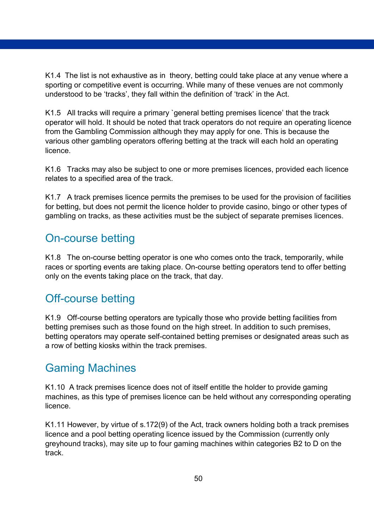K1.4 The list is not exhaustive as in theory, betting could take place at any venue where a sporting or competitive event is occurring. While many of these venues are not commonly understood to be 'tracks', they fall within the definition of 'track' in the Act.

K1.5 All tracks will require a primary `general betting premises licence' that the track operator will hold. It should be noted that track operators do not require an operating licence from the Gambling Commission although they may apply for one. This is because the various other gambling operators offering betting at the track will each hold an operating licence.

K1.6 Tracks may also be subject to one or more premises licences, provided each licence relates to a specified area of the track.

K1.7 A track premises licence permits the premises to be used for the provision of facilities for betting, but does not permit the licence holder to provide casino, bingo or other types of gambling on tracks, as these activities must be the subject of separate premises licences.

### <span id="page-49-0"></span>On-course betting

K1.8 The on-course betting operator is one who comes onto the track, temporarily, while races or sporting events are taking place. On-course betting operators tend to offer betting only on the events taking place on the track, that day.

## <span id="page-49-1"></span>Off-course betting

K1.9 Off-course betting operators are typically those who provide betting facilities from betting premises such as those found on the high street. In addition to such premises, betting operators may operate self-contained betting premises or designated areas such as a row of betting kiosks within the track premises.

# <span id="page-49-2"></span>Gaming Machines

K1.10 A track premises licence does not of itself entitle the holder to provide gaming machines, as this type of premises licence can be held without any corresponding operating licence.

K1.11 However, by virtue of s.172(9) of the Act, track owners holding both a track premises licence and a pool betting operating licence issued by the Commission (currently only greyhound tracks), may site up to four gaming machines within categories B2 to D on the track.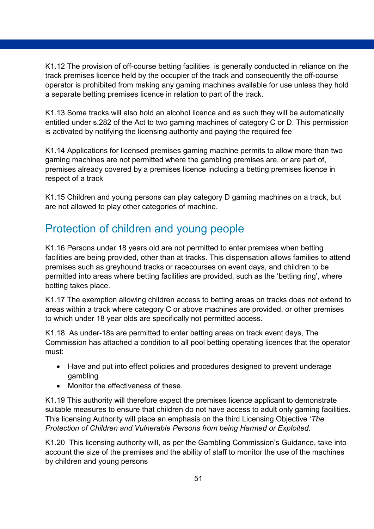K1.12 The provision of off-course betting facilities is generally conducted in reliance on the track premises licence held by the occupier of the track and consequently the off-course operator is prohibited from making any gaming machines available for use unless they hold a separate betting premises licence in relation to part of the track.

K1.13 Some tracks will also hold an alcohol licence and as such they will be automatically entitled under s.282 of the Act to two gaming machines of category C or D. This permission is activated by notifying the licensing authority and paying the required fee

K1.14 Applications for licensed premises gaming machine permits to allow more than two gaming machines are not permitted where the gambling premises are, or are part of, premises already covered by a premises licence including a betting premises licence in respect of a track

K1.15 Children and young persons can play category D gaming machines on a track, but are not allowed to play other categories of machine.

# <span id="page-50-0"></span>Protection of children and young people

K1.16 Persons under 18 years old are not permitted to enter premises when betting facilities are being provided, other than at tracks. This dispensation allows families to attend premises such as greyhound tracks or racecourses on event days, and children to be permitted into areas where betting facilities are provided, such as the 'betting ring', where betting takes place.

K1.17 The exemption allowing children access to betting areas on tracks does not extend to areas within a track where category C or above machines are provided, or other premises to which under 18 year olds are specifically not permitted access.

K1.18 As under-18s are permitted to enter betting areas on track event days, The Commission has attached a condition to all pool betting operating licences that the operator must:

- Have and put into effect policies and procedures designed to prevent underage gambling
- Monitor the effectiveness of these.

K1.19 This authority will therefore expect the premises licence applicant to demonstrate suitable measures to ensure that children do not have access to adult only gaming facilities. This licensing Authority will place an emphasis on the third Licensing Objective '*The Protection of Children and Vulnerable Persons from being Harmed or Exploited.* 

K1.20 This licensing authority will, as per the Gambling Commission's Guidance, take into account the size of the premises and the ability of staff to monitor the use of the machines by children and young persons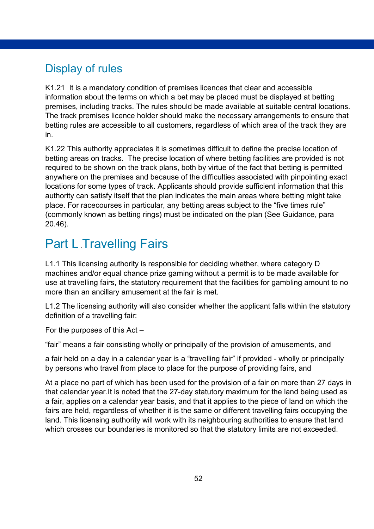# <span id="page-51-0"></span>Display of rules

K1.21 It is a mandatory condition of premises licences that clear and accessible information about the terms on which a bet may be placed must be displayed at betting premises, including tracks. The rules should be made available at suitable central locations. The track premises licence holder should make the necessary arrangements to ensure that betting rules are accessible to all customers, regardless of which area of the track they are in.

K1.22 This authority appreciates it is sometimes difficult to define the precise location of betting areas on tracks. The precise location of where betting facilities are provided is not required to be shown on the track plans, both by virtue of the fact that betting is permitted anywhere on the premises and because of the difficulties associated with pinpointing exact locations for some types of track. Applicants should provide sufficient information that this authority can satisfy itself that the plan indicates the main areas where betting might take place. For racecourses in particular, any betting areas subject to the "five times rule" (commonly known as betting rings) must be indicated on the plan (See Guidance, para 20.46).

# <span id="page-51-1"></span>**Part L. Travelling Fairs**

L1.1 This licensing authority is responsible for deciding whether, where category D machines and/or equal chance prize gaming without a permit is to be made available for use at travelling fairs, the statutory requirement that the facilities for gambling amount to no more than an ancillary amusement at the fair is met.

L1.2 The licensing authority will also consider whether the applicant falls within the statutory definition of a travelling fair:

For the purposes of this Act –

"fair" means a fair consisting wholly or principally of the provision of amusements, and

a fair held on a day in a calendar year is a "travelling fair" if provided - wholly or principally by persons who travel from place to place for the purpose of providing fairs, and

At a place no part of which has been used for the provision of a fair on more than 27 days in that calendar year.It is noted that the 27-day statutory maximum for the land being used as a fair, applies on a calendar year basis, and that it applies to the piece of land on which the fairs are held, regardless of whether it is the same or different travelling fairs occupying the land. This licensing authority will work with its neighbouring authorities to ensure that land which crosses our boundaries is monitored so that the statutory limits are not exceeded.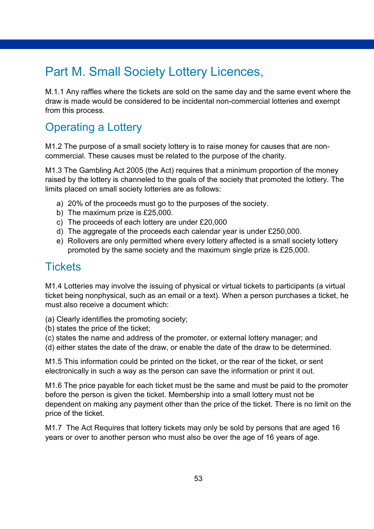# <span id="page-52-0"></span>Part M. Small Society Lottery Licences,

M.1.1 Any raffles where the tickets are sold on the same day and the same event where the draw is made would be considered to be incidental non-commercial lotteries and exempt from this process.

# <span id="page-52-1"></span>Operating a Lottery

M1.2 The purpose of a small society lottery is to raise money for causes that are noncommercial. These causes must be related to the purpose of the charity.

M1.3 The Gambling Act 2005 (the Act) requires that a minimum proportion of the money raised by the lottery is channeled to the goals of the society that promoted the lottery. The limits placed on small society lotteries are as follows:

- a) 20% of the proceeds must go to the purposes of the society.
- b) The maximum prize is £25,000.
- c) The proceeds of each lottery are under £20,000
- d) The aggregate of the proceeds each calendar year is under £250,000.
- e) Rollovers are only permitted where every lottery affected is a small society lottery promoted by the same society and the maximum single prize is £25,000.

### <span id="page-52-2"></span>**Tickets**

M1.4 Lotteries may involve the issuing of physical or virtual tickets to participants (a virtual ticket being nonphysical, such as an email or a text). When a person purchases a ticket, he must also receive a document which:

(a) Clearly identifies the promoting society;

- (b) states the price of the ticket;
- (c) states the name and address of the promoter, or external lottery manager; and
- (d) either states the date of the draw, or enable the date of the draw to be determined.

M1.5 This information could be printed on the ticket, or the rear of the ticket, or sent electronically in such a way as the person can save the information or print it out.

M1.6 The price payable for each ticket must be the same and must be paid to the promoter before the person is given the ticket. Membership into a small lottery must not be dependent on making any payment other than the price of the ticket. There is no limit on the price of the ticket.

M1.7 The Act Requires that lottery tickets may only be sold by persons that are aged 16 years or over to another person who must also be over the age of 16 years of age.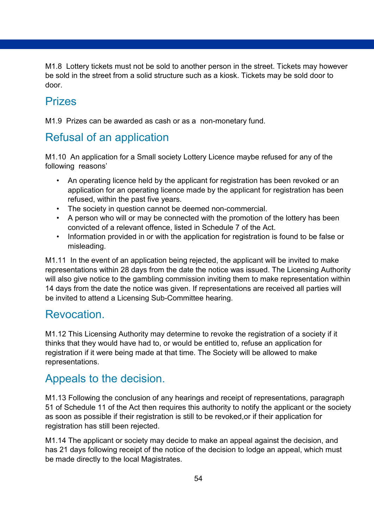M1.8 Lottery tickets must not be sold to another person in the street. Tickets may however be sold in the street from a solid structure such as a kiosk. Tickets may be sold door to door.

### <span id="page-53-0"></span>Prizes

M1.9 Prizes can be awarded as cash or as a non-monetary fund.

# <span id="page-53-1"></span>Refusal of an application

M1.10 An application for a Small society Lottery Licence maybe refused for any of the following reasons'

- An operating licence held by the applicant for registration has been revoked or an application for an operating licence made by the applicant for registration has been refused, within the past five years.
- The society in question cannot be deemed non-commercial.
- A person who will or may be connected with the promotion of the lottery has been convicted of a relevant offence, listed in Schedule 7 of the Act.
- Information provided in or with the application for registration is found to be false or misleading.

M1.11 In the event of an application being rejected, the applicant will be invited to make representations within 28 days from the date the notice was issued. The Licensing Authority will also give notice to the gambling commission inviting them to make representation within 14 days from the date the notice was given. If representations are received all parties will be invited to attend a Licensing Sub-Committee hearing.

### <span id="page-53-2"></span>Revocation.

M1.12 This Licensing Authority may determine to revoke the registration of a society if it thinks that they would have had to, or would be entitled to, refuse an application for registration if it were being made at that time. The Society will be allowed to make representations.

## <span id="page-53-3"></span>Appeals to the decision.

M1.13 Following the conclusion of any hearings and receipt of representations, paragraph 51 of Schedule 11 of the Act then requires this authority to notify the applicant or the society as soon as possible if their registration is still to be revoked,or if their application for registration has still been rejected.

M1.14 The applicant or society may decide to make an appeal against the decision, and has 21 days following receipt of the notice of the decision to lodge an appeal, which must be made directly to the local Magistrates.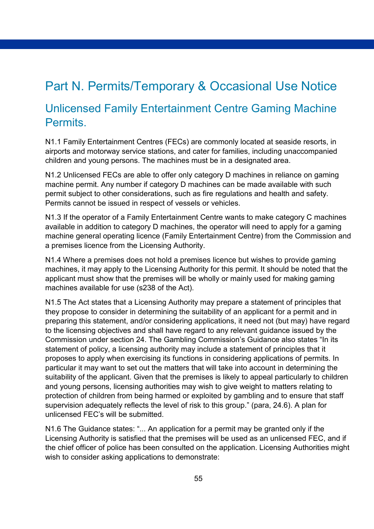# <span id="page-54-0"></span>Part N. Permits/Temporary & Occasional Use Notice

### <span id="page-54-1"></span>Unlicensed Family Entertainment Centre Gaming Machine Permits.

N1.1 Family Entertainment Centres (FECs) are commonly located at seaside resorts, in airports and motorway service stations, and cater for families, including unaccompanied children and young persons. The machines must be in a designated area.

N1.2 Unlicensed FECs are able to offer only category D machines in reliance on gaming machine permit. Any number if category D machines can be made available with such permit subject to other considerations, such as fire regulations and health and safety. Permits cannot be issued in respect of vessels or vehicles.

N1.3 If the operator of a Family Entertainment Centre wants to make category C machines available in addition to category D machines, the operator will need to apply for a gaming machine general operating licence (Family Entertainment Centre) from the Commission and a premises licence from the Licensing Authority.

N1.4 Where a premises does not hold a premises licence but wishes to provide gaming machines, it may apply to the Licensing Authority for this permit. It should be noted that the applicant must show that the premises will be wholly or mainly used for making gaming machines available for use (s238 of the Act).

N1.5 The Act states that a Licensing Authority may prepare a statement of principles that they propose to consider in determining the suitability of an applicant for a permit and in preparing this statement, and/or considering applications, it need not (but may) have regard to the licensing objectives and shall have regard to any relevant guidance issued by the Commission under section 24. The Gambling Commission's Guidance also states "In its statement of policy, a licensing authority may include a statement of principles that it proposes to apply when exercising its functions in considering applications of permits. In particular it may want to set out the matters that will take into account in determining the suitability of the applicant. Given that the premises is likely to appeal particularly to children and young persons, licensing authorities may wish to give weight to matters relating to protection of children from being harmed or exploited by gambling and to ensure that staff supervision adequately reflects the level of risk to this group." (para, 24.6). A plan for unlicensed FEC's will be submitted.

N1.6 The Guidance states: "... An application for a permit may be granted only if the Licensing Authority is satisfied that the premises will be used as an unlicensed FEC, and if the chief officer of police has been consulted on the application. Licensing Authorities might wish to consider asking applications to demonstrate: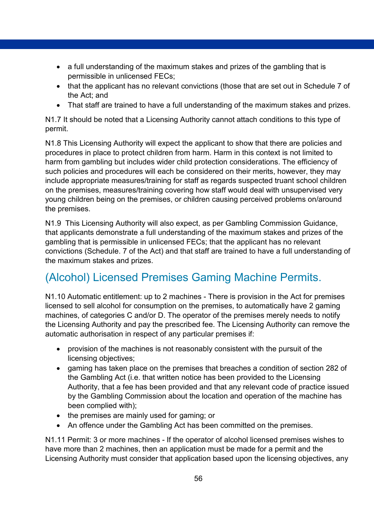- a full understanding of the maximum stakes and prizes of the gambling that is permissible in unlicensed FECs;
- that the applicant has no relevant convictions (those that are set out in Schedule 7 of the Act; and
- That staff are trained to have a full understanding of the maximum stakes and prizes.

N1.7 It should be noted that a Licensing Authority cannot attach conditions to this type of permit.

N1.8 This Licensing Authority will expect the applicant to show that there are policies and procedures in place to protect children from harm. Harm in this context is not limited to harm from gambling but includes wider child protection considerations. The efficiency of such policies and procedures will each be considered on their merits, however, they may include appropriate measures/training for staff as regards suspected truant school children on the premises, measures/training covering how staff would deal with unsupervised very young children being on the premises, or children causing perceived problems on/around the premises.

N1.9 This Licensing Authority will also expect, as per Gambling Commission Guidance, that applicants demonstrate a full understanding of the maximum stakes and prizes of the gambling that is permissible in unlicensed FECs; that the applicant has no relevant convictions (Schedule. 7 of the Act) and that staff are trained to have a full understanding of the maximum stakes and prizes.

# <span id="page-55-0"></span>(Alcohol) Licensed Premises Gaming Machine Permits.

N1.10 Automatic entitlement: up to 2 machines - There is provision in the Act for premises licensed to sell alcohol for consumption on the premises, to automatically have 2 gaming machines, of categories C and/or D. The operator of the premises merely needs to notify the Licensing Authority and pay the prescribed fee. The Licensing Authority can remove the automatic authorisation in respect of any particular premises if:

- provision of the machines is not reasonably consistent with the pursuit of the licensing objectives;
- gaming has taken place on the premises that breaches a condition of section 282 of the Gambling Act (i.e. that written notice has been provided to the Licensing Authority, that a fee has been provided and that any relevant code of practice issued by the Gambling Commission about the location and operation of the machine has been complied with);
- the premises are mainly used for gaming; or
- An offence under the Gambling Act has been committed on the premises.

N1.11 Permit: 3 or more machines - If the operator of alcohol licensed premises wishes to have more than 2 machines, then an application must be made for a permit and the Licensing Authority must consider that application based upon the licensing objectives, any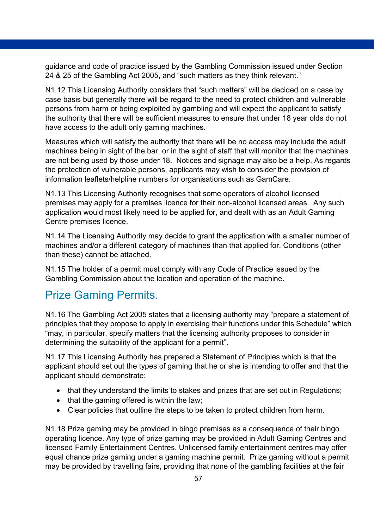guidance and code of practice issued by the Gambling Commission issued under Section 24 & 25 of the Gambling Act 2005, and "such matters as they think relevant."

N1.12 This Licensing Authority considers that "such matters" will be decided on a case by case basis but generally there will be regard to the need to protect children and vulnerable persons from harm or being exploited by gambling and will expect the applicant to satisfy the authority that there will be sufficient measures to ensure that under 18 year olds do not have access to the adult only gaming machines.

Measures which will satisfy the authority that there will be no access may include the adult machines being in sight of the bar, or in the sight of staff that will monitor that the machines are not being used by those under 18. Notices and signage may also be a help. As regards the protection of vulnerable persons, applicants may wish to consider the provision of information leaflets/helpline numbers for organisations such as GamCare.

N1.13 This Licensing Authority recognises that some operators of alcohol licensed premises may apply for a premises licence for their non-alcohol licensed areas. Any such application would most likely need to be applied for, and dealt with as an Adult Gaming Centre premises licence.

N1.14 The Licensing Authority may decide to grant the application with a smaller number of machines and/or a different category of machines than that applied for. Conditions (other than these) cannot be attached.

N1.15 The holder of a permit must comply with any Code of Practice issued by the Gambling Commission about the location and operation of the machine.

## <span id="page-56-0"></span>Prize Gaming Permits.

N1.16 The Gambling Act 2005 states that a licensing authority may "prepare a statement of principles that they propose to apply in exercising their functions under this Schedule" which "may, in particular, specify matters that the licensing authority proposes to consider in determining the suitability of the applicant for a permit".

N1.17 This Licensing Authority has prepared a Statement of Principles which is that the applicant should set out the types of gaming that he or she is intending to offer and that the applicant should demonstrate:

- that they understand the limits to stakes and prizes that are set out in Regulations;
- that the gaming offered is within the law;
- Clear policies that outline the steps to be taken to protect children from harm.

N1.18 Prize gaming may be provided in bingo premises as a consequence of their bingo operating licence. Any type of prize gaming may be provided in Adult Gaming Centres and licensed Family Entertainment Centres. Unlicensed family entertainment centres may offer equal chance prize gaming under a gaming machine permit. Prize gaming without a permit may be provided by travelling fairs, providing that none of the gambling facilities at the fair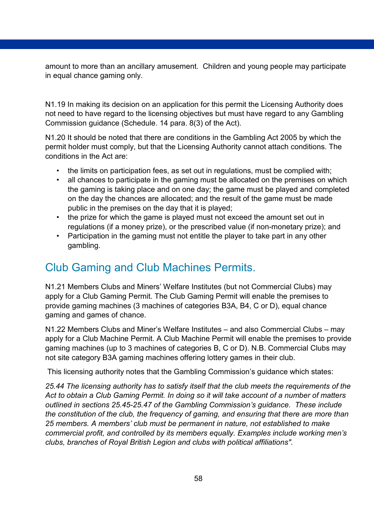amount to more than an ancillary amusement. Children and young people may participate in equal chance gaming only.

N1.19 In making its decision on an application for this permit the Licensing Authority does not need to have regard to the licensing objectives but must have regard to any Gambling Commission guidance (Schedule. 14 para. 8(3) of the Act).

N1.20 It should be noted that there are conditions in the Gambling Act 2005 by which the permit holder must comply, but that the Licensing Authority cannot attach conditions. The conditions in the Act are:

- the limits on participation fees, as set out in regulations, must be complied with;
- all chances to participate in the gaming must be allocated on the premises on which the gaming is taking place and on one day; the game must be played and completed on the day the chances are allocated; and the result of the game must be made public in the premises on the day that it is played;
- the prize for which the game is played must not exceed the amount set out in regulations (if a money prize), or the prescribed value (if non-monetary prize); and
- Participation in the gaming must not entitle the player to take part in any other gambling.

## <span id="page-57-0"></span>Club Gaming and Club Machines Permits.

N1.21 Members Clubs and Miners' Welfare Institutes (but not Commercial Clubs) may apply for a Club Gaming Permit. The Club Gaming Permit will enable the premises to provide gaming machines (3 machines of categories B3A, B4, C or D), equal chance gaming and games of chance.

N1.22 Members Clubs and Miner's Welfare Institutes – and also Commercial Clubs – may apply for a Club Machine Permit. A Club Machine Permit will enable the premises to provide gaming machines (up to 3 machines of categories B, C or D). N.B. Commercial Clubs may not site category B3A gaming machines offering lottery games in their club.

This licensing authority notes that the Gambling Commission's guidance which states:

*25.44 The licensing authority has to satisfy itself that the club meets the requirements of the Act to obtain a Club Gaming Permit. In doing so it will take account of a number of matters outlined in sections 25.45-25.47 of the Gambling Commission's guidance. These include the constitution of the club, the frequency of gaming, and ensuring that there are more than 25 members. A members' club must be permanent in nature, not established to make commercial profit, and controlled by its members equally. Examples include working men's clubs, branches of Royal British Legion and clubs with political affiliations".*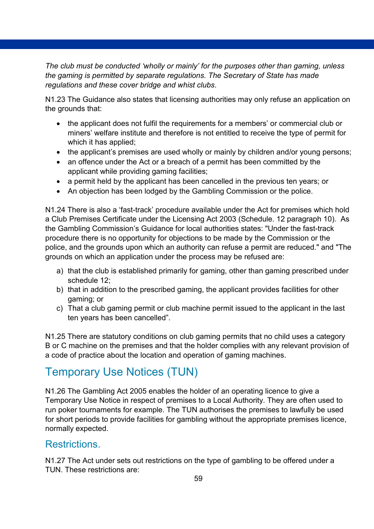*The club must be conducted 'wholly or mainly' for the purposes other than gaming, unless the gaming is permitted by separate regulations. The Secretary of State has made regulations and these cover bridge and whist clubs*.

N1.23 The Guidance also states that licensing authorities may only refuse an application on the grounds that:

- the applicant does not fulfil the requirements for a members' or commercial club or miners' welfare institute and therefore is not entitled to receive the type of permit for which it has applied;
- the applicant's premises are used wholly or mainly by children and/or young persons;
- an offence under the Act or a breach of a permit has been committed by the applicant while providing gaming facilities;
- a permit held by the applicant has been cancelled in the previous ten years; or
- An objection has been lodged by the Gambling Commission or the police.

N1.24 There is also a 'fast-track' procedure available under the Act for premises which hold a Club Premises Certificate under the Licensing Act 2003 (Schedule. 12 paragraph 10). As the Gambling Commission's Guidance for local authorities states: "Under the fast-track procedure there is no opportunity for objections to be made by the Commission or the police, and the grounds upon which an authority can refuse a permit are reduced." and "The grounds on which an application under the process may be refused are:

- a) that the club is established primarily for gaming, other than gaming prescribed under schedule 12;
- b) that in addition to the prescribed gaming, the applicant provides facilities for other gaming; or
- c) That a club gaming permit or club machine permit issued to the applicant in the last ten years has been cancelled".

N1.25 There are statutory conditions on club gaming permits that no child uses a category B or C machine on the premises and that the holder complies with any relevant provision of a code of practice about the location and operation of gaming machines.

# <span id="page-58-0"></span>Temporary Use Notices (TUN)

N1.26 The Gambling Act 2005 enables the holder of an operating licence to give a Temporary Use Notice in respect of premises to a Local Authority. They are often used to run poker tournaments for example. The TUN authorises the premises to lawfully be used for short periods to provide facilities for gambling without the appropriate premises licence, normally expected.

### Restrictions.

N1.27 The Act under sets out restrictions on the type of gambling to be offered under a TUN. These restrictions are: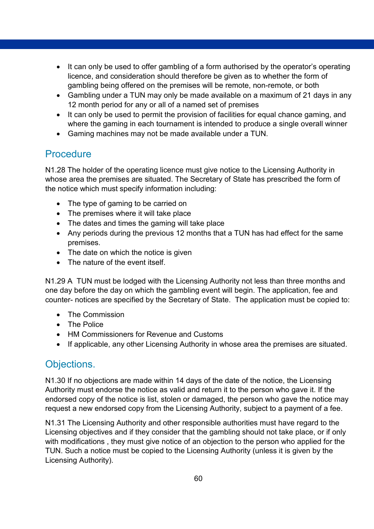- It can only be used to offer gambling of a form authorised by the operator's operating licence, and consideration should therefore be given as to whether the form of gambling being offered on the premises will be remote, non-remote, or both
- Gambling under a TUN may only be made available on a maximum of 21 days in any 12 month period for any or all of a named set of premises
- It can only be used to permit the provision of facilities for equal chance gaming, and where the gaming in each tournament is intended to produce a single overall winner
- Gaming machines may not be made available under a TUN.

### **Procedure**

N1.28 The holder of the operating licence must give notice to the Licensing Authority in whose area the premises are situated. The Secretary of State has prescribed the form of the notice which must specify information including:

- The type of gaming to be carried on
- The premises where it will take place
- The dates and times the gaming will take place
- Any periods during the previous 12 months that a TUN has had effect for the same premises.
- The date on which the notice is given
- The nature of the event itself.

N1.29 A TUN must be lodged with the Licensing Authority not less than three months and one day before the day on which the gambling event will begin. The application, fee and counter- notices are specified by the Secretary of State. The application must be copied to:

- The Commission
- The Police
- HM Commissioners for Revenue and Customs
- If applicable, any other Licensing Authority in whose area the premises are situated.

### Objections.

N1.30 If no objections are made within 14 days of the date of the notice, the Licensing Authority must endorse the notice as valid and return it to the person who gave it. If the endorsed copy of the notice is list, stolen or damaged, the person who gave the notice may request a new endorsed copy from the Licensing Authority, subject to a payment of a fee.

N1.31 The Licensing Authority and other responsible authorities must have regard to the Licensing objectives and if they consider that the gambling should not take place, or if only with modifications , they must give notice of an objection to the person who applied for the TUN. Such a notice must be copied to the Licensing Authority (unless it is given by the Licensing Authority).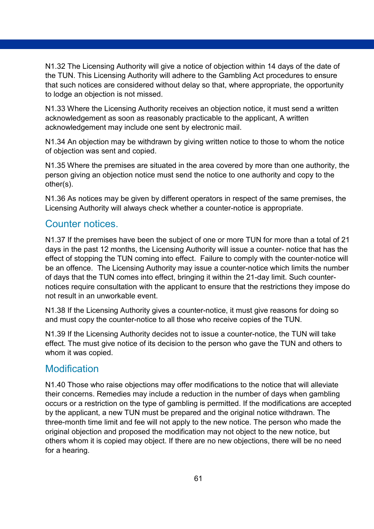N1.32 The Licensing Authority will give a notice of objection within 14 days of the date of the TUN. This Licensing Authority will adhere to the Gambling Act procedures to ensure that such notices are considered without delay so that, where appropriate, the opportunity to lodge an objection is not missed.

N1.33 Where the Licensing Authority receives an objection notice, it must send a written acknowledgement as soon as reasonably practicable to the applicant, A written acknowledgement may include one sent by electronic mail.

N1.34 An objection may be withdrawn by giving written notice to those to whom the notice of objection was sent and copied.

N1.35 Where the premises are situated in the area covered by more than one authority, the person giving an objection notice must send the notice to one authority and copy to the other(s).

N1.36 As notices may be given by different operators in respect of the same premises, the Licensing Authority will always check whether a counter-notice is appropriate.

#### Counter notices.

N1.37 If the premises have been the subject of one or more TUN for more than a total of 21 days in the past 12 months, the Licensing Authority will issue a counter- notice that has the effect of stopping the TUN coming into effect. Failure to comply with the counter-notice will be an offence. The Licensing Authority may issue a counter-notice which limits the number of days that the TUN comes into effect, bringing it within the 21-day limit. Such counternotices require consultation with the applicant to ensure that the restrictions they impose do not result in an unworkable event.

N1.38 If the Licensing Authority gives a counter-notice, it must give reasons for doing so and must copy the counter-notice to all those who receive copies of the TUN.

N1.39 If the Licensing Authority decides not to issue a counter-notice, the TUN will take effect. The must give notice of its decision to the person who gave the TUN and others to whom it was copied.

#### Modification

N1.40 Those who raise objections may offer modifications to the notice that will alleviate their concerns. Remedies may include a reduction in the number of days when gambling occurs or a restriction on the type of gambling is permitted. If the modifications are accepted by the applicant, a new TUN must be prepared and the original notice withdrawn. The three-month time limit and fee will not apply to the new notice. The person who made the original objection and proposed the modification may not object to the new notice, but others whom it is copied may object. If there are no new objections, there will be no need for a hearing.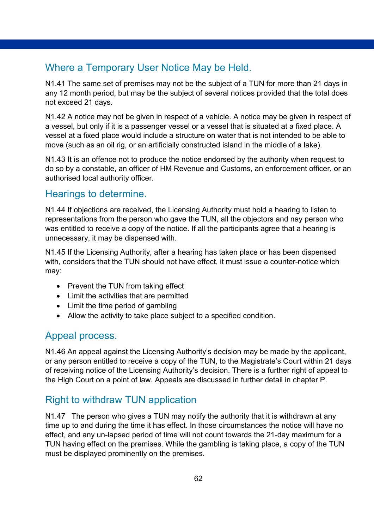### Where a Temporary User Notice May be Held.

N1.41 The same set of premises may not be the subject of a TUN for more than 21 days in any 12 month period, but may be the subject of several notices provided that the total does not exceed 21 days.

N1.42 A notice may not be given in respect of a vehicle. A notice may be given in respect of a vessel, but only if it is a passenger vessel or a vessel that is situated at a fixed place. A vessel at a fixed place would include a structure on water that is not intended to be able to move (such as an oil rig, or an artificially constructed island in the middle of a lake).

N1.43 It is an offence not to produce the notice endorsed by the authority when request to do so by a constable, an officer of HM Revenue and Customs, an enforcement officer, or an authorised local authority officer.

#### Hearings to determine.

N1.44 If objections are received, the Licensing Authority must hold a hearing to listen to representations from the person who gave the TUN, all the objectors and nay person who was entitled to receive a copy of the notice. If all the participants agree that a hearing is unnecessary, it may be dispensed with.

N1.45 If the Licensing Authority, after a hearing has taken place or has been dispensed with, considers that the TUN should not have effect, it must issue a counter-notice which may:

- Prevent the TUN from taking effect
- Limit the activities that are permitted
- Limit the time period of gambling
- Allow the activity to take place subject to a specified condition.

#### Appeal process.

N1.46 An appeal against the Licensing Authority's decision may be made by the applicant, or any person entitled to receive a copy of the TUN, to the Magistrate's Court within 21 days of receiving notice of the Licensing Authority's decision. There is a further right of appeal to the High Court on a point of law. Appeals are discussed in further detail in chapter P.

### Right to withdraw TUN application

N1.47 The person who gives a TUN may notify the authority that it is withdrawn at any time up to and during the time it has effect. In those circumstances the notice will have no effect, and any un-lapsed period of time will not count towards the 21-day maximum for a TUN having effect on the premises. While the gambling is taking place, a copy of the TUN must be displayed prominently on the premises.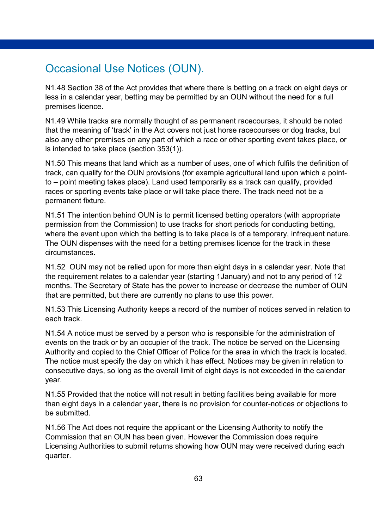### <span id="page-62-0"></span>Occasional Use Notices (OUN).

N1.48 Section 38 of the Act provides that where there is betting on a track on eight days or less in a calendar year, betting may be permitted by an OUN without the need for a full premises licence.

N1.49 While tracks are normally thought of as permanent racecourses, it should be noted that the meaning of 'track' in the Act covers not just horse racecourses or dog tracks, but also any other premises on any part of which a race or other sporting event takes place, or is intended to take place (section 353(1)).

N1.50 This means that land which as a number of uses, one of which fulfils the definition of track, can qualify for the OUN provisions (for example agricultural land upon which a pointto – point meeting takes place). Land used temporarily as a track can qualify, provided races or sporting events take place or will take place there. The track need not be a permanent fixture.

N1.51 The intention behind OUN is to permit licensed betting operators (with appropriate permission from the Commission) to use tracks for short periods for conducting betting, where the event upon which the betting is to take place is of a temporary, infrequent nature. The OUN dispenses with the need for a betting premises licence for the track in these circumstances.

N1.52 OUN may not be relied upon for more than eight days in a calendar year. Note that the requirement relates to a calendar year (starting 1January) and not to any period of 12 months. The Secretary of State has the power to increase or decrease the number of OUN that are permitted, but there are currently no plans to use this power.

N1.53 This Licensing Authority keeps a record of the number of notices served in relation to each track.

N1.54 A notice must be served by a person who is responsible for the administration of events on the track or by an occupier of the track. The notice be served on the Licensing Authority and copied to the Chief Officer of Police for the area in which the track is located. The notice must specify the day on which it has effect. Notices may be given in relation to consecutive days, so long as the overall limit of eight days is not exceeded in the calendar year.

N1.55 Provided that the notice will not result in betting facilities being available for more than eight days in a calendar year, there is no provision for counter-notices or objections to be submitted.

N1.56 The Act does not require the applicant or the Licensing Authority to notify the Commission that an OUN has been given. However the Commission does require Licensing Authorities to submit returns showing how OUN may were received during each quarter.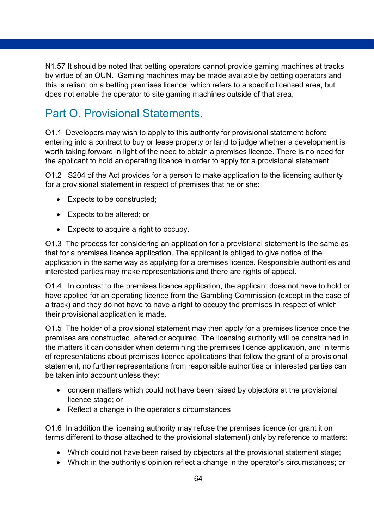N1.57 It should be noted that betting operators cannot provide gaming machines at tracks by virtue of an OUN. Gaming machines may be made available by betting operators and this is reliant on a betting premises licence, which refers to a specific licensed area, but does not enable the operator to site gaming machines outside of that area.

# <span id="page-63-0"></span>Part O. Provisional Statements.

O1.1 Developers may wish to apply to this authority for provisional statement before entering into a contract to buy or lease property or land to judge whether a development is worth taking forward in light of the need to obtain a premises licence. There is no need for the applicant to hold an operating licence in order to apply for a provisional statement.

O1.2 S204 of the Act provides for a person to make application to the licensing authority for a provisional statement in respect of premises that he or she:

- Expects to be constructed;
- Expects to be altered; or
- Expects to acquire a right to occupy.

O1.3 The process for considering an application for a provisional statement is the same as that for a premises licence application. The applicant is obliged to give notice of the application in the same way as applying for a premises licence. Responsible authorities and interested parties may make representations and there are rights of appeal.

O1.4 In contrast to the premises licence application, the applicant does not have to hold or have applied for an operating licence from the Gambling Commission (except in the case of a track) and they do not have to have a right to occupy the premises in respect of which their provisional application is made.

O1.5 The holder of a provisional statement may then apply for a premises licence once the premises are constructed, altered or acquired. The licensing authority will be constrained in the matters it can consider when determining the premises licence application, and in terms of representations about premises licence applications that follow the grant of a provisional statement, no further representations from responsible authorities or interested parties can be taken into account unless they:

- concern matters which could not have been raised by objectors at the provisional licence stage; or
- Reflect a change in the operator's circumstances

O1.6 In addition the licensing authority may refuse the premises licence (or grant it on terms different to those attached to the provisional statement) only by reference to matters:

- Which could not have been raised by objectors at the provisional statement stage;
- Which in the authority's opinion reflect a change in the operator's circumstances; or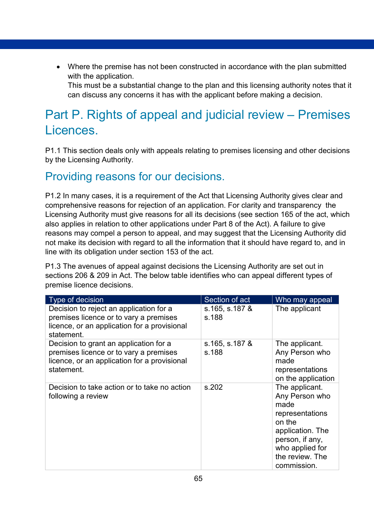• Where the premise has not been constructed in accordance with the plan submitted with the application.

This must be a substantial change to the plan and this licensing authority notes that it can discuss any concerns it has with the applicant before making a decision.

# <span id="page-64-0"></span>Part P. Rights of appeal and judicial review – Premises Licences.

P1.1 This section deals only with appeals relating to premises licensing and other decisions by the Licensing Authority.

## <span id="page-64-1"></span>Providing reasons for our decisions.

P1.2 In many cases, it is a requirement of the Act that Licensing Authority gives clear and comprehensive reasons for rejection of an application. For clarity and transparency the Licensing Authority must give reasons for all its decisions (see section 165 of the act, which also applies in relation to other applications under Part 8 of the Act). A failure to give reasons may compel a person to appeal, and may suggest that the Licensing Authority did not make its decision with regard to all the information that it should have regard to, and in line with its obligation under section 153 of the act.

P1.3 The avenues of appeal against decisions the Licensing Authority are set out in sections 206 & 209 in Act. The below table identifies who can appeal different types of premise licence decisions.

| Type of decision                                                                                                                                | Section of act          | Who may appeal                                                                                                                                                    |
|-------------------------------------------------------------------------------------------------------------------------------------------------|-------------------------|-------------------------------------------------------------------------------------------------------------------------------------------------------------------|
| Decision to reject an application for a<br>premises licence or to vary a premises<br>licence, or an application for a provisional<br>statement. | s.165, s.187 &<br>s.188 | The applicant                                                                                                                                                     |
| Decision to grant an application for a<br>premises licence or to vary a premises<br>licence, or an application for a provisional<br>statement.  | s.165, s.187 &<br>s.188 | The applicant.<br>Any Person who<br>made<br>representations<br>on the application                                                                                 |
| Decision to take action or to take no action<br>following a review                                                                              | s.202                   | The applicant.<br>Any Person who<br>made<br>representations<br>on the<br>application. The<br>person, if any,<br>who applied for<br>the review. The<br>commission. |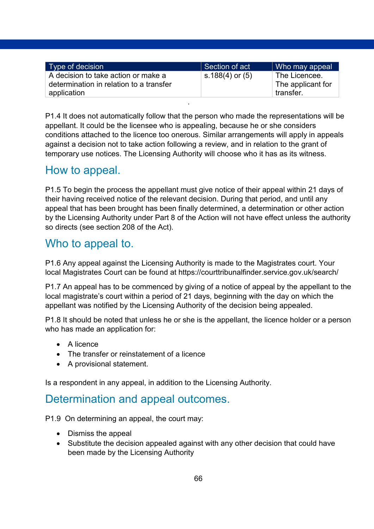| Type of decision                                                               | Section of act       | Who may appeal                     |
|--------------------------------------------------------------------------------|----------------------|------------------------------------|
| A decision to take action or make a<br>determination in relation to a transfer | s.188 $(4)$ or $(5)$ | The Licencee.<br>The applicant for |
| application                                                                    |                      | transfer.                          |

P1.4 It does not automatically follow that the person who made the representations will be appellant. It could be the licensee who is appealing, because he or she considers conditions attached to the licence too onerous. Similar arrangements will apply in appeals against a decision not to take action following a review, and in relation to the grant of temporary use notices. The Licensing Authority will choose who it has as its witness.

### <span id="page-65-0"></span>How to appeal.

**.** The contract of the contract of the contract of the contract of the contract of the contract of the contract of

P1.5 To begin the process the appellant must give notice of their appeal within 21 days of their having received notice of the relevant decision. During that period, and until any appeal that has been brought has been finally determined, a determination or other action by the Licensing Authority under Part 8 of the Action will not have effect unless the authority so directs (see section 208 of the Act).

### <span id="page-65-1"></span>Who to appeal to.

P1.6 Any appeal against the Licensing Authority is made to the Magistrates court. Your local Magistrates Court can be found at https://courttribunalfinder.service.gov.uk/search/

P1.7 An appeal has to be commenced by giving of a notice of appeal by the appellant to the local magistrate's court within a period of 21 days, beginning with the day on which the appellant was notified by the Licensing Authority of the decision being appealed.

P1.8 It should be noted that unless he or she is the appellant, the licence holder or a person who has made an application for:

- A licence
- The transfer or reinstatement of a licence
- A provisional statement.

Is a respondent in any appeal, in addition to the Licensing Authority.

### <span id="page-65-2"></span>Determination and appeal outcomes.

P1.9 On determining an appeal, the court may:

- Dismiss the appeal
- Substitute the decision appealed against with any other decision that could have been made by the Licensing Authority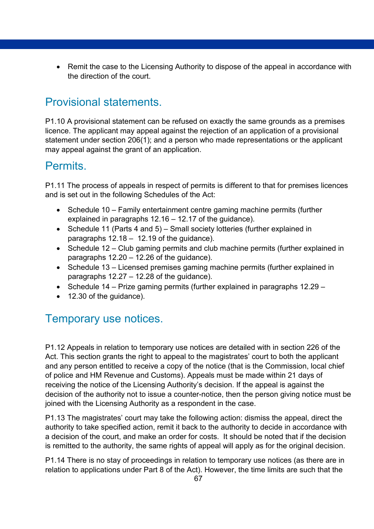• Remit the case to the Licensing Authority to dispose of the appeal in accordance with the direction of the court.

# <span id="page-66-0"></span>Provisional statements.

P1.10 A provisional statement can be refused on exactly the same grounds as a premises licence. The applicant may appeal against the rejection of an application of a provisional statement under section 206(1); and a person who made representations or the applicant may appeal against the grant of an application.

### <span id="page-66-1"></span>Permits.

P1.11 The process of appeals in respect of permits is different to that for premises licences and is set out in the following Schedules of the Act:

- Schedule 10 Family entertainment centre gaming machine permits (further explained in paragraphs 12.16 – 12.17 of the guidance).
- Schedule 11 (Parts 4 and 5) Small society lotteries (further explained in paragraphs 12.18 – 12.19 of the guidance).
- Schedule 12 Club gaming permits and club machine permits (further explained in paragraphs 12.20 – 12.26 of the guidance).
- Schedule 13 Licensed premises gaming machine permits (further explained in paragraphs 12.27 – 12.28 of the guidance).
- Schedule 14 Prize gaming permits (further explained in paragraphs 12.29 –
- 12.30 of the guidance).

# <span id="page-66-2"></span>Temporary use notices.

P1.12 Appeals in relation to temporary use notices are detailed with in section 226 of the Act. This section grants the right to appeal to the magistrates' court to both the applicant and any person entitled to receive a copy of the notice (that is the Commission, local chief of police and HM Revenue and Customs). Appeals must be made within 21 days of receiving the notice of the Licensing Authority's decision. If the appeal is against the decision of the authority not to issue a counter-notice, then the person giving notice must be joined with the Licensing Authority as a respondent in the case.

P1.13 The magistrates' court may take the following action: dismiss the appeal, direct the authority to take specified action, remit it back to the authority to decide in accordance with a decision of the court, and make an order for costs. It should be noted that if the decision is remitted to the authority, the same rights of appeal will apply as for the original decision.

P1.14 There is no stay of proceedings in relation to temporary use notices (as there are in relation to applications under Part 8 of the Act). However, the time limits are such that the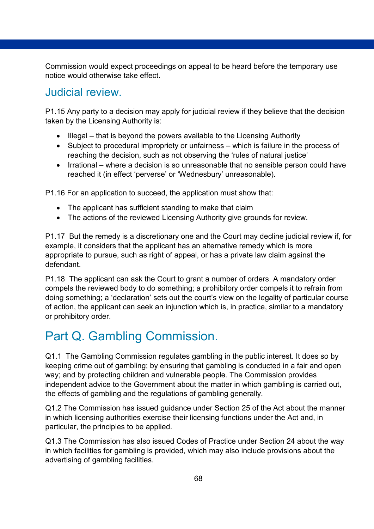Commission would expect proceedings on appeal to be heard before the temporary use notice would otherwise take effect.

### <span id="page-67-0"></span>Judicial review.

P1.15 Any party to a decision may apply for judicial review if they believe that the decision taken by the Licensing Authority is:

- Illegal that is beyond the powers available to the Licensing Authority
- Subject to procedural impropriety or unfairness which is failure in the process of reaching the decision, such as not observing the 'rules of natural justice'
- Irrational where a decision is so unreasonable that no sensible person could have reached it (in effect 'perverse' or 'Wednesbury' unreasonable).

P1.16 For an application to succeed, the application must show that:

- The applicant has sufficient standing to make that claim
- The actions of the reviewed Licensing Authority give grounds for review.

P1.17 But the remedy is a discretionary one and the Court may decline judicial review if, for example, it considers that the applicant has an alternative remedy which is more appropriate to pursue, such as right of appeal, or has a private law claim against the defendant.

P1.18 The applicant can ask the Court to grant a number of orders. A mandatory order compels the reviewed body to do something; a prohibitory order compels it to refrain from doing something; a 'declaration' sets out the court's view on the legality of particular course of action, the applicant can seek an injunction which is, in practice, similar to a mandatory or prohibitory order.

# <span id="page-67-1"></span>Part Q. Gambling Commission.

Q1.1 The Gambling Commission regulates gambling in the public interest. It does so by keeping crime out of gambling; by ensuring that gambling is conducted in a fair and open way; and by protecting children and vulnerable people. The Commission provides independent advice to the Government about the matter in which gambling is carried out, the effects of gambling and the regulations of gambling generally.

Q1.2 The Commission has issued guidance under Section 25 of the Act about the manner in which licensing authorities exercise their licensing functions under the Act and, in particular, the principles to be applied.

Q1.3 The Commission has also issued Codes of Practice under Section 24 about the way in which facilities for gambling is provided, which may also include provisions about the advertising of gambling facilities.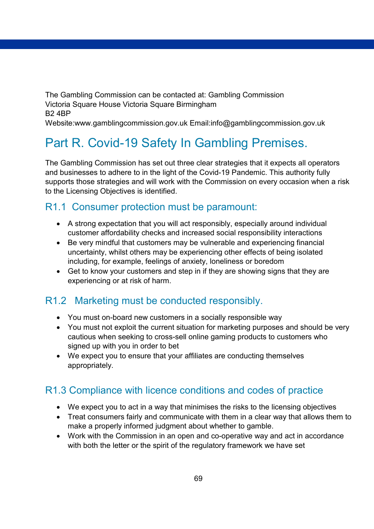The Gambling Commission can be contacted at: Gambling Commission Victoria Square House Victoria Square Birmingham B2 4BP

Website:www.gamblingcommission.gov.uk Email:info@gamblingcommission.gov.uk

# <span id="page-68-0"></span>Part R. Covid-19 Safety In Gambling Premises.

The Gambling Commission has set out three clear strategies that it expects all operators and businesses to adhere to in the light of the Covid-19 Pandemic. This authority fully supports those strategies and will work with the Commission on every occasion when a risk to the Licensing Objectives is identified.

### R1.1 Consumer protection must be paramount:

- A strong expectation that you will act responsibly, especially around individual customer affordability checks and increased social responsibility interactions
- Be very mindful that customers may be vulnerable and experiencing financial uncertainty, whilst others may be experiencing other effects of being isolated including, for example, feelings of anxiety, loneliness or boredom
- Get to know your customers and step in if they are showing signs that they are experiencing or at risk of harm.

### R1.2 Marketing must be conducted responsibly.

- You must on-board new customers in a socially responsible way
- You must not exploit the current situation for marketing purposes and should be very cautious when seeking to cross-sell online gaming products to customers who signed up with you in order to bet
- We expect you to ensure that your affiliates are conducting themselves appropriately.

### R1.3 Compliance with licence conditions and codes of practice

- We expect you to act in a way that minimises the risks to the licensing objectives
- Treat consumers fairly and communicate with them in a clear way that allows them to make a properly informed judgment about whether to gamble.
- Work with the Commission in an open and co-operative way and act in accordance with both the letter or the spirit of the regulatory framework we have set